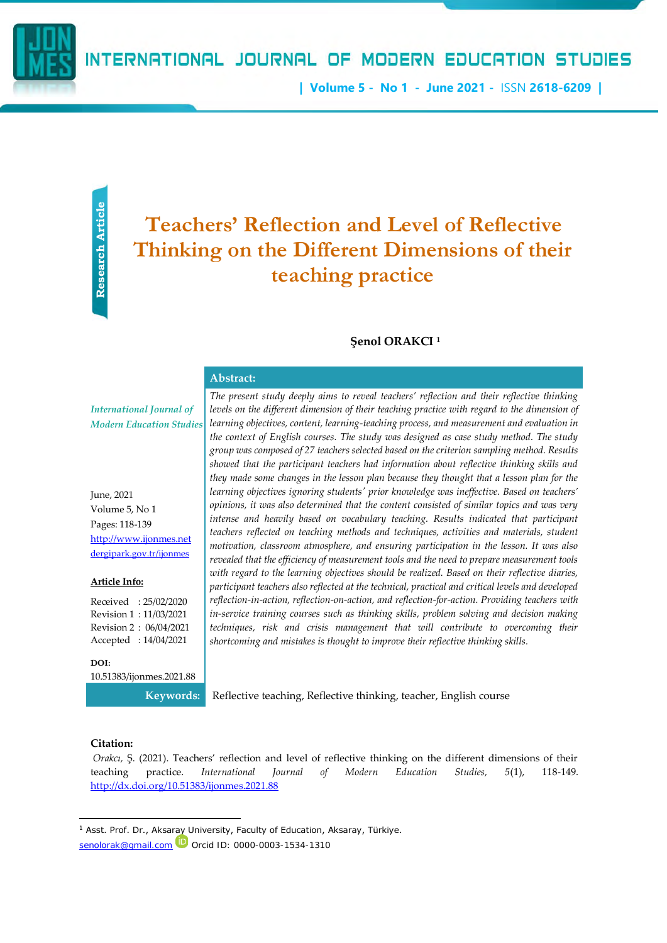**| Volume 5 - No 1 - June 2021 -** ISSN **2618-6209 |**

# **Teachers' Reflection and Level of Reflective Thinking on the Different Dimensions of their teaching practice**

## **Şenol ORAKCI <sup>1</sup>**

#### **Abstract:**

*International Journal of Modern Education Studies*

June, 2021 Volume 5, No 1 Pages: 118-139 [http://www.ijonmes.net](http://www.ijonmes.net/) [dergipark.gov.tr/ijonmes](http://www.dergipark.gov.tr/ijonmes)

#### **Article Info:**

Received : 25/02/2020 Revision 1 : 11/03/2021 Revision 2 : 06/04/2021 Accepted : 14/04/2021

**DOI:** 10.51383/ijonmes.2021.88

**Senon Confirmed Confirmed Confirmed Confirmed Confirmed Confirmed Confirmed Confirmed Confirmed Confirmed Confirmed Confirmed Confirmed Confirmed Confirmed Confirmed Article Confirmed Strategies (18-139 pages: 118-139 pag** *The present study deeply aims to reveal teachers' reflection and their reflective thinking*  levels on the different dimension of their teaching practice with regard to the dimension of *learning objectives, content, learning-teaching process, and measurement and evaluation in the context of English courses. The study was designed as case study method. The study group was composed of 27 teachers selected based on the criterion sampling method. Results showed that the participant teachers had information about reflective thinking skills and they made some changes in the lesson plan because they thought that a lesson plan for the learning objectives ignoring students' prior knowledge was ineffective. Based on teachers' opinions, it was also determined that the content consisted of similar topics and was very intense and heavily based on vocabulary teaching. Results indicated that participant teachers reflected on teaching methods and techniques, activities and materials, student motivation, classroom atmosphere, and ensuring participation in the lesson. It was also revealed that the efficiency of measurement tools and the need to prepare measurement tools with regard to the learning objectives should be realized. Based on their reflective diaries, participant teachers also reflected at the technical, practical and critical levels and developed reflection-in-action, reflection-on-action, and reflection-for-action. Providing teachers with in-service training courses such as thinking skills, problem solving and decision making techniques, risk and crisis management that will contribute to overcoming their shortcoming and mistakes is thought to improve their reflective thinking skills.*

**Keywords:** Reflective teaching, Reflective thinking, teacher, English course

## **Citation:**

*Orakcı,* Ş. (2021). Teachers' reflection and level of reflective thinking on the different dimensions of their teaching practice. *International Journal of Modern Education Studies, 5*(1), 118-149. <http://dx.doi.org/10.51383/ijonmes.2021.88>

 $1$  Asst. Prof. Dr., Aksaray University, Faculty of Education, Aksaray, Türkiye.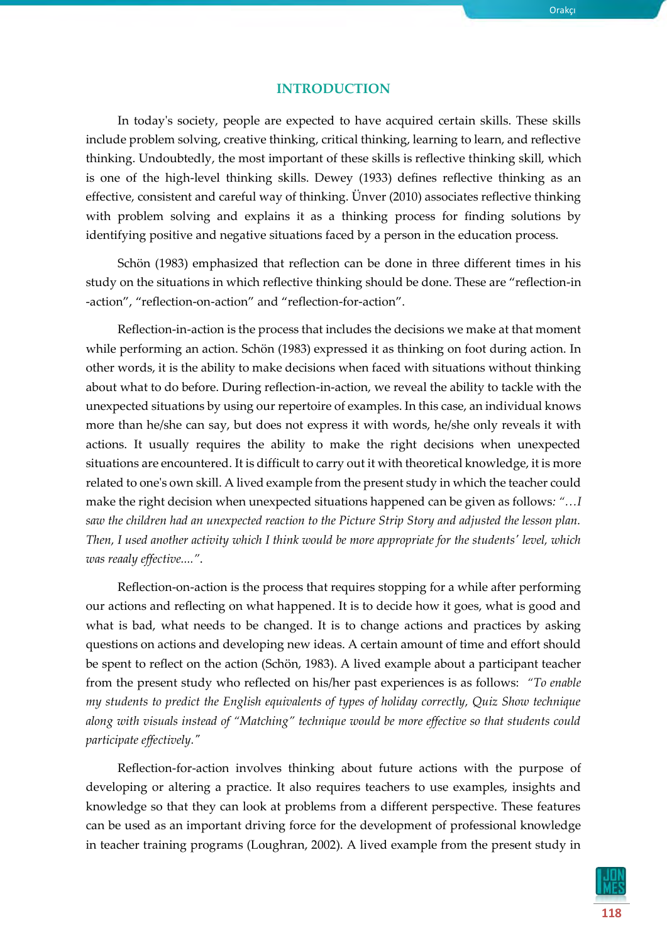## **INTRODUCTION**

In today's society, people are expected to have acquired certain skills. These skills include problem solving, creative thinking, critical thinking, learning to learn, and reflective thinking. Undoubtedly, the most important of these skills is reflective thinking skill, which is one of the high-level thinking skills. Dewey (1933) defines reflective thinking as an effective, consistent and careful way of thinking. Ünver (2010) associates reflective thinking with problem solving and explains it as a thinking process for finding solutions by identifying positive and negative situations faced by a person in the education process.

Schön (1983) emphasized that reflection can be done in three different times in his study on the situations in which reflective thinking should be done. These are "reflection-in -action", "reflection-on-action" and "reflection-for-action".

Reflection-in-action is the process that includes the decisions we make at that moment while performing an action. Schön (1983) expressed it as thinking on foot during action. In other words, it is the ability to make decisions when faced with situations without thinking about what to do before. During reflection-in-action, we reveal the ability to tackle with the unexpected situations by using our repertoire of examples. In this case, an individual knows more than he/she can say, but does not express it with words, he/she only reveals it with actions. It usually requires the ability to make the right decisions when unexpected situations are encountered. It is difficult to carry out it with theoretical knowledge, it is more related to one's own skill. A lived example from the present study in which the teacher could make the right decision when unexpected situations happened can be given as follows*: "…I saw the children had an unexpected reaction to the Picture Strip Story and adjusted the lesson plan. Then, I used another activity which I think would be more appropriate for the students' level, which was reaaly effective...."*.

Reflection-on-action is the process that requires stopping for a while after performing our actions and reflecting on what happened. It is to decide how it goes, what is good and what is bad, what needs to be changed. It is to change actions and practices by asking questions on actions and developing new ideas. A certain amount of time and effort should be spent to reflect on the action (Schön, 1983). A lived example about a participant teacher from the present study who reflected on his/her past experiences is as follows: *"To enable my students to predict the English equivalents of types of holiday correctly, Quiz Show technique along with visuals instead of "Matching" technique would be more effective so that students could participate effectively."*

Reflection-for-action involves thinking about future actions with the purpose of developing or altering a practice. It also requires teachers to use examples, insights and knowledge so that they can look at problems from a different perspective. These features can be used as an important driving force for the development of professional knowledge in teacher training programs (Loughran, 2002). A lived example from the present study in

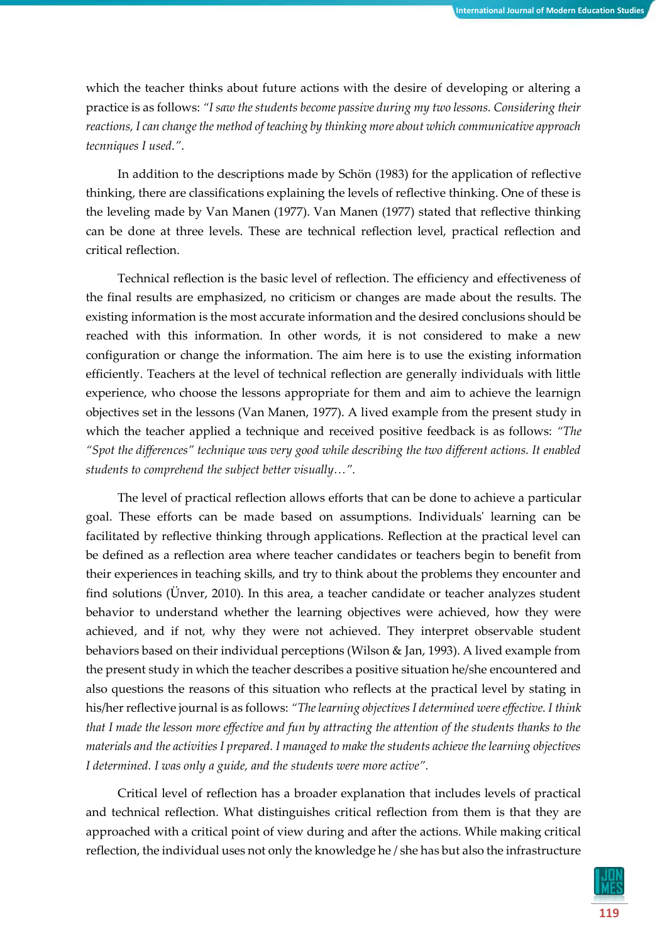which the teacher thinks about future actions with the desire of developing or altering a practice is as follows: *"I saw the students become passive during my two lessons. Considering their reactions, I can change the method of teaching by thinking more about which communicative approach tecnniques I used."*.

In addition to the descriptions made by Schön (1983) for the application of reflective thinking, there are classifications explaining the levels of reflective thinking. One of these is the leveling made by Van Manen (1977). Van Manen (1977) stated that reflective thinking can be done at three levels. These are technical reflection level, practical reflection and critical reflection.

Technical reflection is the basic level of reflection. The efficiency and effectiveness of the final results are emphasized, no criticism or changes are made about the results. The existing information is the most accurate information and the desired conclusions should be reached with this information. In other words, it is not considered to make a new configuration or change the information. The aim here is to use the existing information efficiently. Teachers at the level of technical reflection are generally individuals with little experience, who choose the lessons appropriate for them and aim to achieve the learnign objectives set in the lessons (Van Manen, 1977). A lived example from the present study in which the teacher applied a technique and received positive feedback is as follows: *"The "Spot the differences" technique was very good while describing the two different actions. It enabled students to comprehend the subject better visually…".*

The level of practical reflection allows efforts that can be done to achieve a particular goal. These efforts can be made based on assumptions. Individuals' learning can be facilitated by reflective thinking through applications. Reflection at the practical level can be defined as a reflection area where teacher candidates or teachers begin to benefit from their experiences in teaching skills, and try to think about the problems they encounter and find solutions (Ünver, 2010). In this area, a teacher candidate or teacher analyzes student behavior to understand whether the learning objectives were achieved, how they were achieved, and if not, why they were not achieved. They interpret observable student behaviors based on their individual perceptions (Wilson & Jan, 1993). A lived example from the present study in which the teacher describes a positive situation he/she encountered and also questions the reasons of this situation who reflects at the practical level by stating in his/her reflective journal is as follows: *"The learning objectives I determined were effective. I think that I made the lesson more effective and fun by attracting the attention of the students thanks to the materials and the activities I prepared. I managed to make the students achieve the learning objectives I determined. I was only a guide, and the students were more active".*

Critical level of reflection has a broader explanation that includes levels of practical and technical reflection. What distinguishes critical reflection from them is that they are approached with a critical point of view during and after the actions. While making critical reflection, the individual uses not only the knowledge he / she has but also the infrastructure

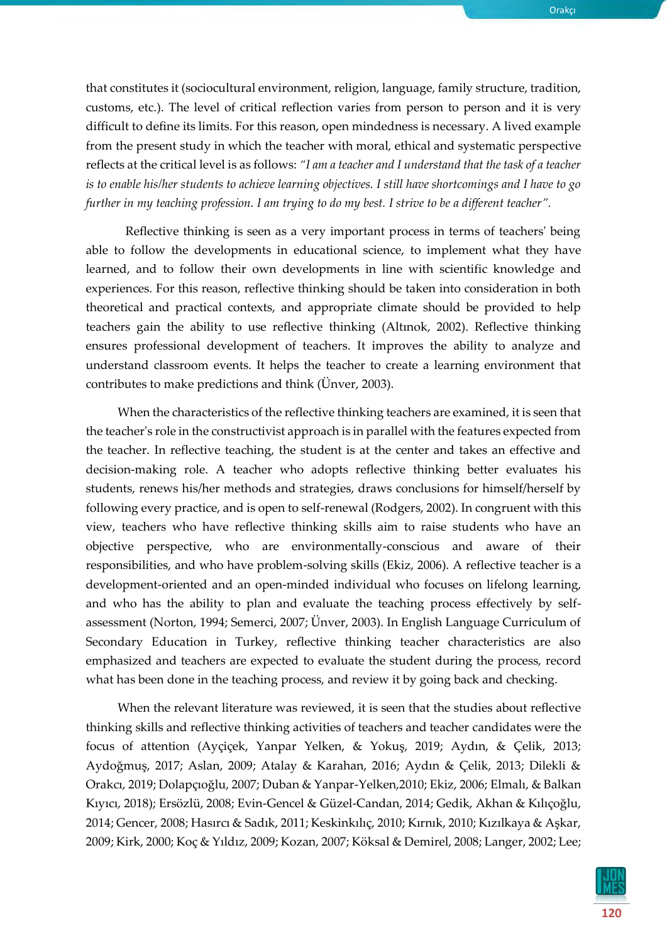Orakçı

that constitutes it (sociocultural environment, religion, language, family structure, tradition, customs, etc.). The level of critical reflection varies from person to person and it is very difficult to define its limits. For this reason, open mindedness is necessary. A lived example from the present study in which the teacher with moral, ethical and systematic perspective reflects at the critical level is as follows: *"I am a teacher and I understand that the task of a teacher is to enable his/her students to achieve learning objectives. I still have shortcomings and I have to go further in my teaching profession. I am trying to do my best. I strive to be a different teacher".*

Reflective thinking is seen as a very important process in terms of teachers' being able to follow the developments in educational science, to implement what they have learned, and to follow their own developments in line with scientific knowledge and experiences. For this reason, reflective thinking should be taken into consideration in both theoretical and practical contexts, and appropriate climate should be provided to help teachers gain the ability to use reflective thinking (Altınok, 2002). Reflective thinking ensures professional development of teachers. It improves the ability to analyze and understand classroom events. It helps the teacher to create a learning environment that contributes to make predictions and think (Ünver, 2003).

When the characteristics of the reflective thinking teachers are examined, it is seen that the teacher's role in the constructivist approach is in parallel with the features expected from the teacher. In reflective teaching, the student is at the center and takes an effective and decision-making role. A teacher who adopts reflective thinking better evaluates his students, renews his/her methods and strategies, draws conclusions for himself/herself by following every practice, and is open to self-renewal (Rodgers, 2002). In congruent with this view, teachers who have reflective thinking skills aim to raise students who have an objective perspective, who are environmentally-conscious and aware of their responsibilities, and who have problem-solving skills (Ekiz, 2006). A reflective teacher is a development-oriented and an open-minded individual who focuses on lifelong learning, and who has the ability to plan and evaluate the teaching process effectively by selfassessment (Norton, 1994; Semerci, 2007; Ünver, 2003). In English Language Curriculum of Secondary Education in Turkey, reflective thinking teacher characteristics are also emphasized and teachers are expected to evaluate the student during the process, record what has been done in the teaching process, and review it by going back and checking.

When the relevant literature was reviewed, it is seen that the studies about reflective thinking skills and reflective thinking activities of teachers and teacher candidates were the focus of attention (Ayçiçek, Yanpar Yelken, & Yokuş, 2019; Aydın, & Çelik, 2013; Aydoğmuş, 2017; Aslan, 2009; Atalay & Karahan, 2016; Aydın & Çelik, 2013; Dilekli & Orakcı, 2019; Dolapçıoğlu, 2007; Duban & Yanpar-Yelken,2010; Ekiz, 2006; Elmalı, & Balkan Kıyıcı, 2018); Ersözlü, 2008; Evin-Gencel & Güzel-Candan, 2014; Gedik, Akhan & Kılıçoğlu, 2014; Gencer, 2008; Hasırcı & Sadık, 2011; Keskinkılıç, 2010; Kırnık, 2010; Kızılkaya & Aşkar, 2009; Kirk, 2000; Koç & Yıldız, 2009; Kozan, 2007; Köksal & Demirel, 2008; Langer, 2002; Lee;

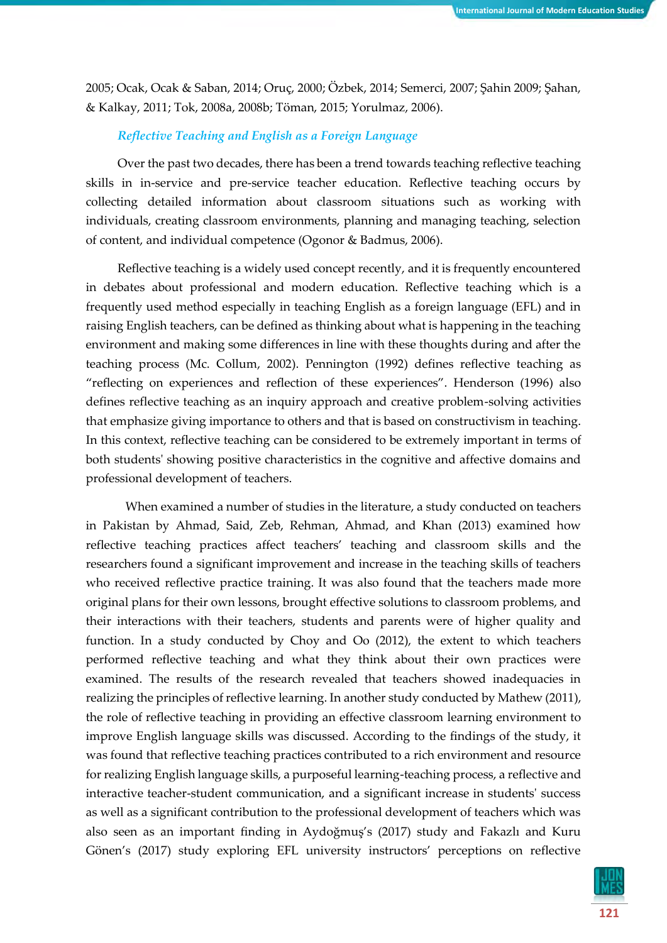2005; Ocak, Ocak & Saban, 2014; Oruç, 2000; Özbek, 2014; Semerci, 2007; Şahin 2009; Şahan, & Kalkay, 2011; Tok, 2008a, 2008b; Töman, 2015; Yorulmaz, 2006).

## *Reflective Teaching and English as a Foreign Language*

Over the past two decades, there has been a trend towards teaching reflective teaching skills in in-service and pre-service teacher education. Reflective teaching occurs by collecting detailed information about classroom situations such as working with individuals, creating classroom environments, planning and managing teaching, selection of content, and individual competence (Ogonor & Badmus, 2006).

Reflective teaching is a widely used concept recently, and it is frequently encountered in debates about professional and modern education. Reflective teaching which is a frequently used method especially in teaching English as a foreign language (EFL) and in raising English teachers, can be defined as thinking about what is happening in the teaching environment and making some differences in line with these thoughts during and after the teaching process (Mc. Collum, 2002). Pennington (1992) defines reflective teaching as "reflecting on experiences and reflection of these experiences". Henderson (1996) also defines reflective teaching as an inquiry approach and creative problem-solving activities that emphasize giving importance to others and that is based on constructivism in teaching. In this context, reflective teaching can be considered to be extremely important in terms of both students' showing positive characteristics in the cognitive and affective domains and professional development of teachers.

When examined a number of studies in the literature, a study conducted on teachers in Pakistan by Ahmad, Said, Zeb, Rehman, Ahmad, and Khan (2013) examined how reflective teaching practices affect teachers' teaching and classroom skills and the researchers found a significant improvement and increase in the teaching skills of teachers who received reflective practice training. It was also found that the teachers made more original plans for their own lessons, brought effective solutions to classroom problems, and their interactions with their teachers, students and parents were of higher quality and function. In a study conducted by Choy and Oo (2012), the extent to which teachers performed reflective teaching and what they think about their own practices were examined. The results of the research revealed that teachers showed inadequacies in realizing the principles of reflective learning. In another study conducted by Mathew (2011), the role of reflective teaching in providing an effective classroom learning environment to improve English language skills was discussed. According to the findings of the study, it was found that reflective teaching practices contributed to a rich environment and resource for realizing English language skills, a purposeful learning-teaching process, a reflective and interactive teacher-student communication, and a significant increase in students' success as well as a significant contribution to the professional development of teachers which was also seen as an important finding in Aydoğmuş's (2017) study and Fakazlı and Kuru Gönen's (2017) study exploring EFL university instructors' perceptions on reflective

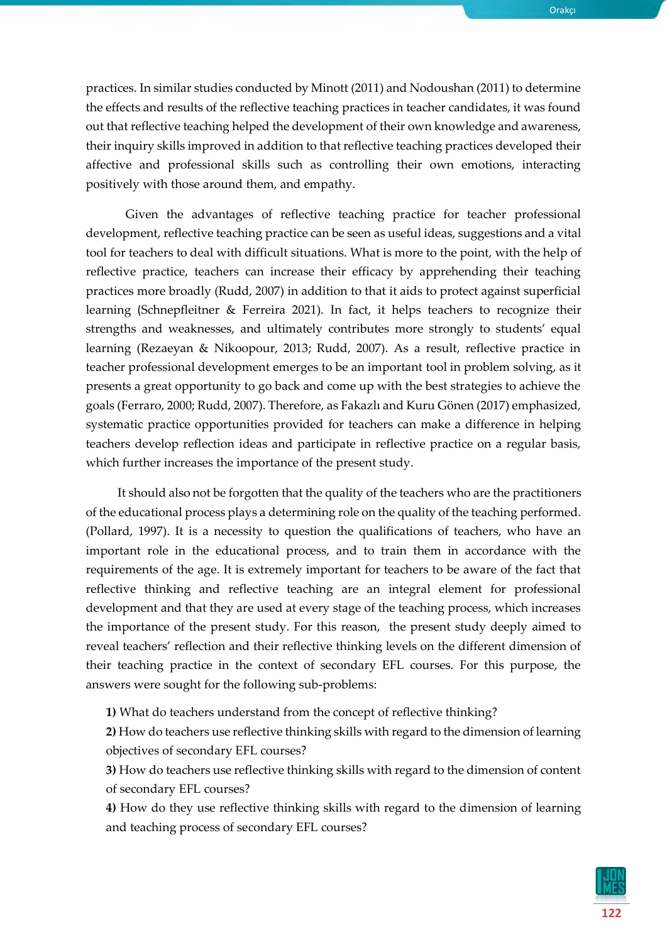Orakçı

practices. In similar studies conducted by Minott (2011) and Nodoushan (2011) to determine the effects and results of the reflective teaching practices in teacher candidates, it was found out that reflective teaching helped the development of their own knowledge and awareness, their inquiry skills improved in addition to that reflective teaching practices developed their affective and professional skills such as controlling their own emotions, interacting positively with those around them, and empathy.

Given the advantages of reflective teaching practice for teacher professional development, reflective teaching practice can be seen as useful ideas, suggestions and a vital tool for teachers to deal with difficult situations. What is more to the point, with the help of reflective practice, teachers can increase their efficacy by apprehending their teaching practices more broadly (Rudd, 2007) in addition to that it aids to protect against superficial learning (Schnepfleitner & Ferreira 2021). In fact, it helps teachers to recognize their strengths and weaknesses, and ultimately contributes more strongly to students' equal learning (Rezaeyan & Nikoopour, 2013; Rudd, 2007). As a result, reflective practice in teacher professional development emerges to be an important tool in problem solving, as it presents a great opportunity to go back and come up with the best strategies to achieve the goals (Ferraro, 2000; Rudd, 2007). Therefore, as Fakazlı and Kuru Gönen (2017) emphasized, systematic practice opportunities provided for teachers can make a difference in helping teachers develop reflection ideas and participate in reflective practice on a regular basis, which further increases the importance of the present study.

It should also not be forgotten that the quality of the teachers who are the practitioners of the educational process plays a determining role on the quality of the teaching performed. (Pollard, 1997). It is a necessity to question the qualifications of teachers, who have an important role in the educational process, and to train them in accordance with the requirements of the age. It is extremely important for teachers to be aware of the fact that reflective thinking and reflective teaching are an integral element for professional development and that they are used at every stage of the teaching process, which increases the importance of the present study. For this reason, the present study deeply aimed to reveal teachers' reflection and their reflective thinking levels on the different dimension of their teaching practice in the context of secondary EFL courses. For this purpose, the answers were sought for the following sub-problems:

**1)** What do teachers understand from the concept of reflective thinking?

**2)** How do teachers use reflective thinking skills with regard to the dimension of learning objectives of secondary EFL courses?

**3)** How do teachers use reflective thinking skills with regard to the dimension of content of secondary EFL courses?

**4)** How do they use reflective thinking skills with regard to the dimension of learning and teaching process of secondary EFL courses?

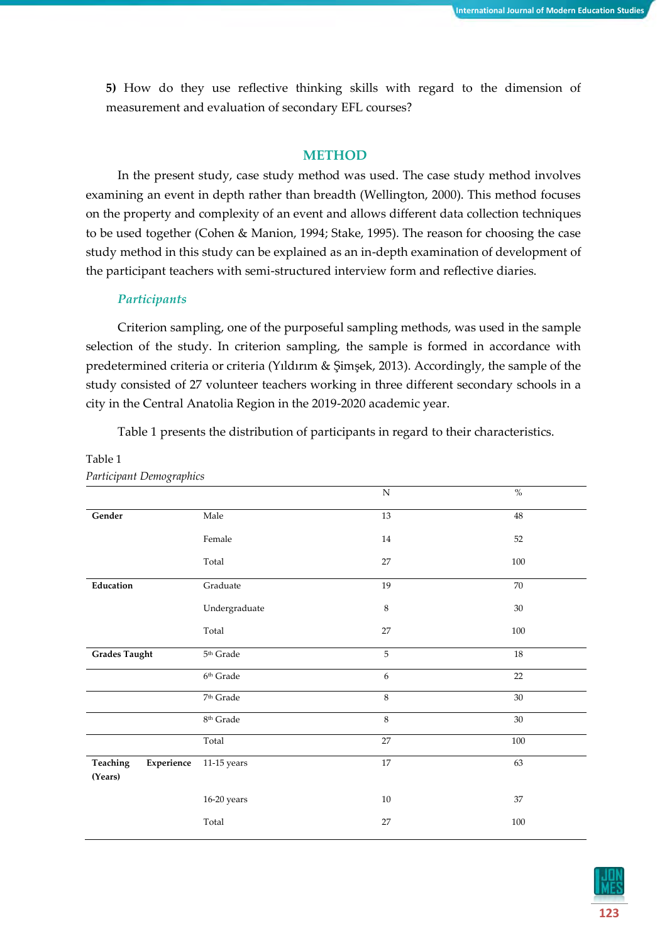**5)** How do they use reflective thinking skills with regard to the dimension of measurement and evaluation of secondary EFL courses?

## **METHOD**

In the present study, case study method was used. The case study method involves examining an event in depth rather than breadth (Wellington, 2000). This method focuses on the property and complexity of an event and allows different data collection techniques to be used together (Cohen & Manion, 1994; Stake, 1995). The reason for choosing the case study method in this study can be explained as an in-depth examination of development of the participant teachers with semi-structured interview form and reflective diaries.

## *Participants*

Criterion sampling, one of the purposeful sampling methods, was used in the sample selection of the study. In criterion sampling, the sample is formed in accordance with predetermined criteria or criteria (Yıldırım & Şimşek, 2013). Accordingly, the sample of the study consisted of 27 volunteer teachers working in three different secondary schools in a city in the Central Anatolia Region in the 2019-2020 academic year.

Table 1 presents the distribution of participants in regard to their characteristics.

| r urticipunt Demogruphics         |                    |           |         |
|-----------------------------------|--------------------|-----------|---------|
|                                   |                    | ${\bf N}$ | $\%$    |
| Gender                            | Male               | 13        | 48      |
|                                   | Female             | $14\,$    | 52      |
|                                   | Total              | 27        | $100\,$ |
| Education                         | Graduate           | 19        | 70      |
|                                   | Undergraduate      | $\,8\,$   | $30\,$  |
|                                   | Total              | 27        | 100     |
| <b>Grades Taught</b>              | $5^{\rm th}$ Grade | 5         | $18\,$  |
|                                   | $6^{\rm th}$ Grade | 6         | $22\,$  |
|                                   | $7^{\rm th}$ Grade | 8         | 30      |
|                                   | $8^{\rm th}$ Grade | $\,8\,$   | $30\,$  |
|                                   | Total              | 27        | $100\,$ |
| Experience<br>Teaching<br>(Years) | $11-15$ years      | $17\,$    | 63      |
|                                   | 16-20 years        | $10\,$    | 37      |
|                                   | Total              | 27        | 100     |

#### Table 1 *Participant Demographics*

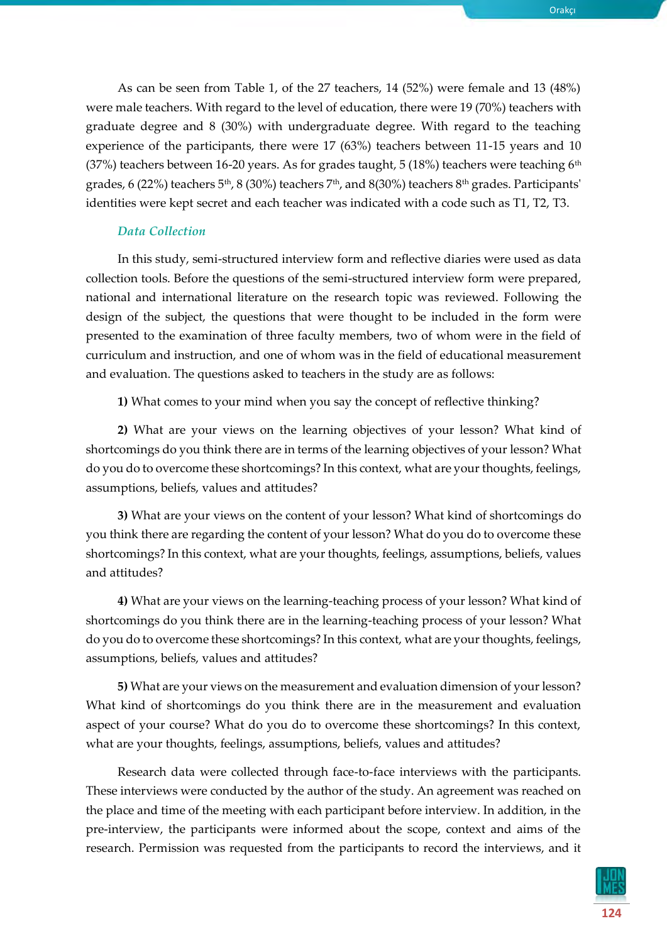As can be seen from Table 1, of the 27 teachers, 14 (52%) were female and 13 (48%) were male teachers. With regard to the level of education, there were 19 (70%) teachers with graduate degree and 8 (30%) with undergraduate degree. With regard to the teaching experience of the participants, there were 17 (63%) teachers between 11-15 years and 10 (37%) teachers between 16-20 years. As for grades taught, 5 (18%) teachers were teaching  $6<sup>th</sup>$ grades, 6 (22%) teachers 5<sup>th</sup>, 8 (30%) teachers 7<sup>th</sup>, and 8(30%) teachers 8<sup>th</sup> grades. Participants'

identities were kept secret and each teacher was indicated with a code such as T1, T2, T3.

## *Data Collection*

In this study, semi-structured interview form and reflective diaries were used as data collection tools. Before the questions of the semi-structured interview form were prepared, national and international literature on the research topic was reviewed. Following the design of the subject, the questions that were thought to be included in the form were presented to the examination of three faculty members, two of whom were in the field of curriculum and instruction, and one of whom was in the field of educational measurement and evaluation. The questions asked to teachers in the study are as follows:

**1)** What comes to your mind when you say the concept of reflective thinking?

**2)** What are your views on the learning objectives of your lesson? What kind of shortcomings do you think there are in terms of the learning objectives of your lesson? What do you do to overcome these shortcomings? In this context, what are your thoughts, feelings, assumptions, beliefs, values and attitudes?

**3)** What are your views on the content of your lesson? What kind of shortcomings do you think there are regarding the content of your lesson? What do you do to overcome these shortcomings? In this context, what are your thoughts, feelings, assumptions, beliefs, values and attitudes?

**4)** What are your views on the learning-teaching process of your lesson? What kind of shortcomings do you think there are in the learning-teaching process of your lesson? What do you do to overcome these shortcomings? In this context, what are your thoughts, feelings, assumptions, beliefs, values and attitudes?

**5)** What are your views on the measurement and evaluation dimension of your lesson? What kind of shortcomings do you think there are in the measurement and evaluation aspect of your course? What do you do to overcome these shortcomings? In this context, what are your thoughts, feelings, assumptions, beliefs, values and attitudes?

Research data were collected through face-to-face interviews with the participants. These interviews were conducted by the author of the study. An agreement was reached on the place and time of the meeting with each participant before interview. In addition, in the pre-interview, the participants were informed about the scope, context and aims of the research. Permission was requested from the participants to record the interviews, and it



Orakçı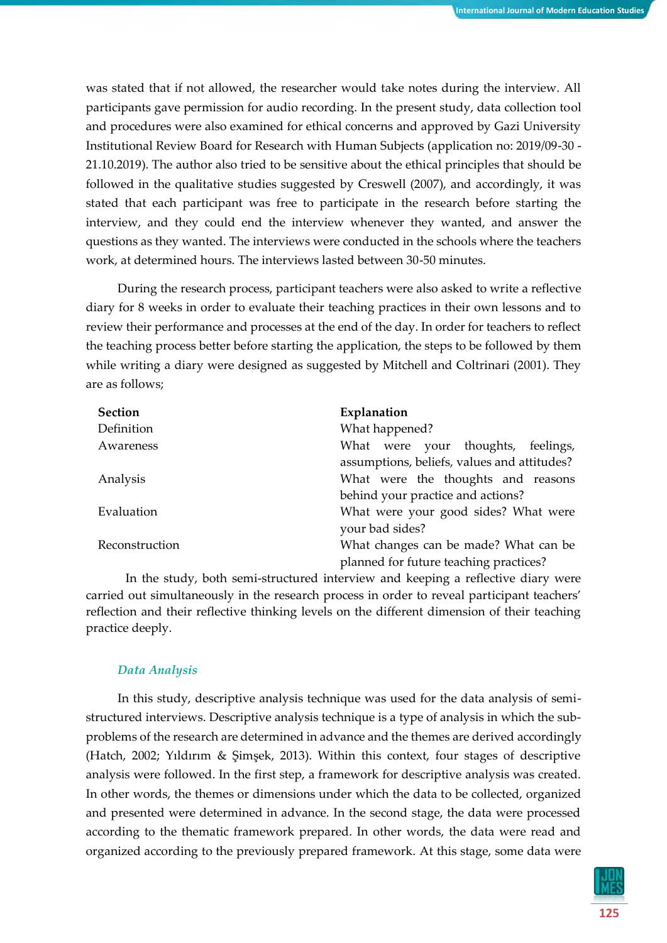was stated that if not allowed, the researcher would take notes during the interview. All participants gave permission for audio recording. In the present study, data collection tool and procedures were also examined for ethical concerns and approved by Gazi University Institutional Review Board for Research with Human Subjects (application no: 2019/09-30 - 21.10.2019). The author also tried to be sensitive about the ethical principles that should be followed in the qualitative studies suggested by Creswell (2007), and accordingly, it was stated that each participant was free to participate in the research before starting the interview, and they could end the interview whenever they wanted, and answer the questions as they wanted. The interviews were conducted in the schools where the teachers work, at determined hours. The interviews lasted between 30-50 minutes.

During the research process, participant teachers were also asked to write a reflective diary for 8 weeks in order to evaluate their teaching practices in their own lessons and to review their performance and processes at the end of the day. In order for teachers to reflect the teaching process better before starting the application, the steps to be followed by them while writing a diary were designed as suggested by Mitchell and Coltrinari (2001). They are as follows;

| <b>Section</b> | Explanation                                 |
|----------------|---------------------------------------------|
| Definition     | What happened?                              |
| Awareness      | What were your thoughts, feelings,          |
|                | assumptions, beliefs, values and attitudes? |
| Analysis       | What were the thoughts and reasons          |
|                | behind your practice and actions?           |
| Evaluation     | What were your good sides? What were        |
|                | your bad sides?                             |
| Reconstruction | What changes can be made? What can be       |
|                | planned for future teaching practices?      |

In the study, both semi-structured interview and keeping a reflective diary were carried out simultaneously in the research process in order to reveal participant teachers' reflection and their reflective thinking levels on the different dimension of their teaching practice deeply.

#### *Data Analysis*

In this study, descriptive analysis technique was used for the data analysis of semistructured interviews. Descriptive analysis technique is a type of analysis in which the subproblems of the research are determined in advance and the themes are derived accordingly (Hatch, 2002; Yıldırım & Şimşek, 2013). Within this context, four stages of descriptive analysis were followed. In the first step, a framework for descriptive analysis was created. In other words, the themes or dimensions under which the data to be collected, organized and presented were determined in advance. In the second stage, the data were processed according to the thematic framework prepared. In other words, the data were read and organized according to the previously prepared framework. At this stage, some data were

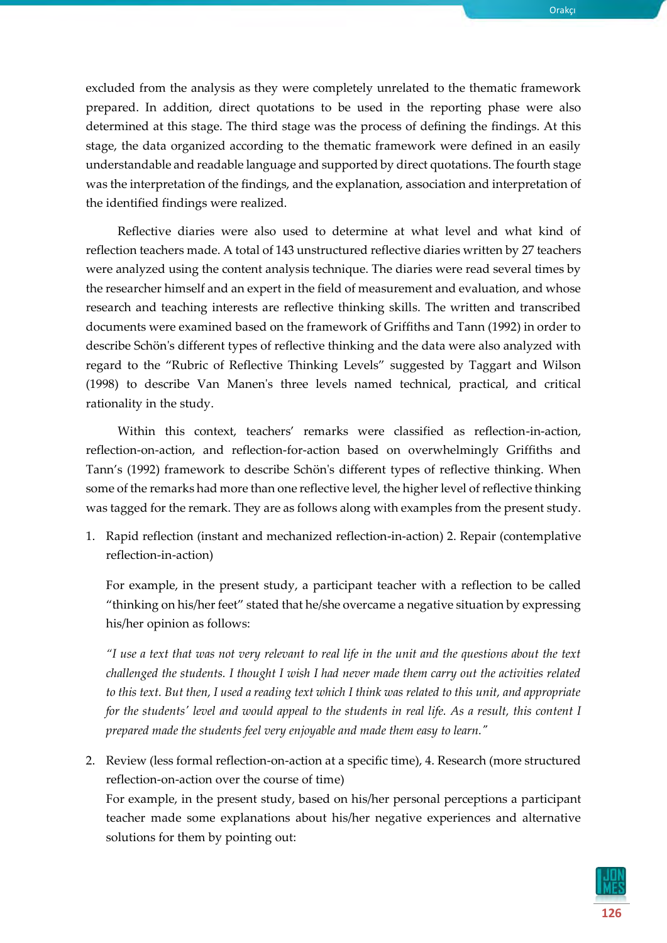excluded from the analysis as they were completely unrelated to the thematic framework prepared. In addition, direct quotations to be used in the reporting phase were also determined at this stage. The third stage was the process of defining the findings. At this stage, the data organized according to the thematic framework were defined in an easily understandable and readable language and supported by direct quotations. The fourth stage was the interpretation of the findings, and the explanation, association and interpretation of the identified findings were realized.

Reflective diaries were also used to determine at what level and what kind of reflection teachers made. A total of 143 unstructured reflective diaries written by 27 teachers were analyzed using the content analysis technique. The diaries were read several times by the researcher himself and an expert in the field of measurement and evaluation, and whose research and teaching interests are reflective thinking skills. The written and transcribed documents were examined based on the framework of Griffiths and Tann (1992) in order to describe Schön's different types of reflective thinking and the data were also analyzed with regard to the "Rubric of Reflective Thinking Levels" suggested by Taggart and Wilson (1998) to describe Van Manen's three levels named technical, practical, and critical rationality in the study.

Within this context, teachers' remarks were classified as reflection-in-action, reflection-on-action, and reflection-for-action based on overwhelmingly Griffiths and Tann's (1992) framework to describe Schön's different types of reflective thinking. When some of the remarks had more than one reflective level, the higher level of reflective thinking was tagged for the remark. They are as follows along with examples from the present study.

1. Rapid reflection (instant and mechanized reflection-in-action) 2. Repair (contemplative reflection-in-action)

For example, in the present study, a participant teacher with a reflection to be called "thinking on his/her feet" stated that he/she overcame a negative situation by expressing his/her opinion as follows:

*"I use a text that was not very relevant to real life in the unit and the questions about the text challenged the students. I thought I wish I had never made them carry out the activities related to this text. But then, I used a reading text which I think was related to this unit, and appropriate for the students' level and would appeal to the students in real life. As a result, this content I prepared made the students feel very enjoyable and made them easy to learn."*

2. Review (less formal reflection-on-action at a specific time), 4. Research (more structured reflection-on-action over the course of time)

For example, in the present study, based on his/her personal perceptions a participant teacher made some explanations about his/her negative experiences and alternative solutions for them by pointing out:

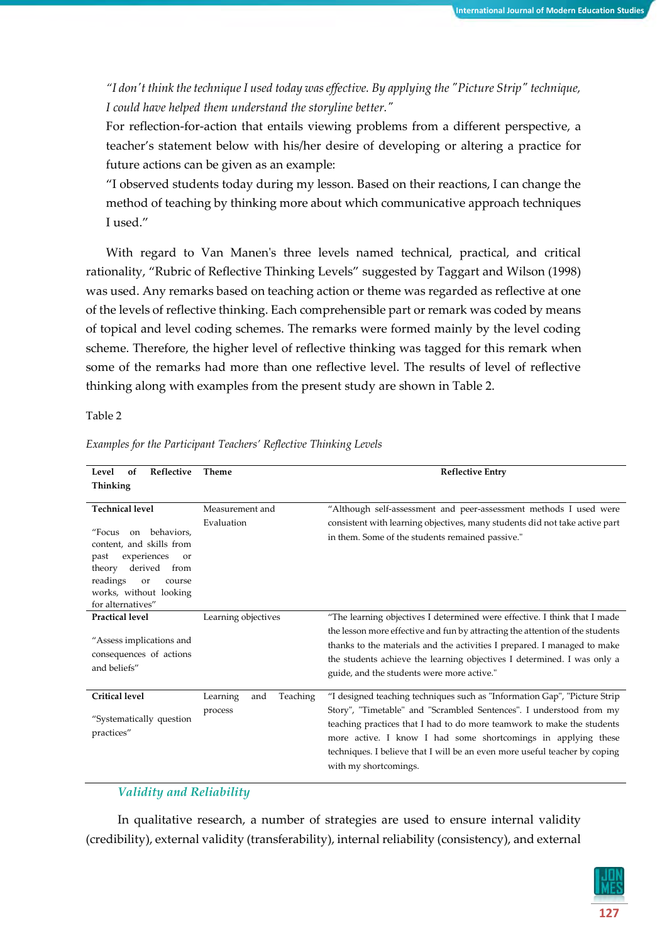*"I don't think the technique I used today was effective. By applying the "Picture Strip" technique, I could have helped them understand the storyline better."*

For reflection-for-action that entails viewing problems from a different perspective, a teacher's statement below with his/her desire of developing or altering a practice for future actions can be given as an example:

"I observed students today during my lesson. Based on their reactions, I can change the method of teaching by thinking more about which communicative approach techniques I used."

With regard to Van Manen's three levels named technical, practical, and critical rationality, "Rubric of Reflective Thinking Levels" suggested by Taggart and Wilson (1998) was used. Any remarks based on teaching action or theme was regarded as reflective at one of the levels of reflective thinking. Each comprehensible part or remark was coded by means of topical and level coding schemes. The remarks were formed mainly by the level coding scheme. Therefore, the higher level of reflective thinking was tagged for this remark when some of the remarks had more than one reflective level. The results of level of reflective thinking along with examples from the present study are shown in Table 2.

Table 2

| <b>Reflective</b><br>Level<br>of                                                                                                                                                                                       | Theme                                  | <b>Reflective Entry</b>                                                                                                                                                                                                                                                                                                                                                                             |
|------------------------------------------------------------------------------------------------------------------------------------------------------------------------------------------------------------------------|----------------------------------------|-----------------------------------------------------------------------------------------------------------------------------------------------------------------------------------------------------------------------------------------------------------------------------------------------------------------------------------------------------------------------------------------------------|
| Thinking                                                                                                                                                                                                               |                                        |                                                                                                                                                                                                                                                                                                                                                                                                     |
| <b>Technical level</b><br>"Focus on behaviors.<br>content, and skills from<br>experiences<br>past<br><b>or</b><br>derived<br>from<br>theory<br>readings<br>or<br>course<br>works, without looking<br>for alternatives" | Measurement and<br>Evaluation          | "Although self-assessment and peer-assessment methods I used were<br>consistent with learning objectives, many students did not take active part<br>in them. Some of the students remained passive."                                                                                                                                                                                                |
| <b>Practical level</b><br>"Assess implications and<br>consequences of actions<br>and beliefs"                                                                                                                          | Learning objectives                    | "The learning objectives I determined were effective. I think that I made<br>the lesson more effective and fun by attracting the attention of the students<br>thanks to the materials and the activities I prepared. I managed to make<br>the students achieve the learning objectives I determined. I was only a<br>guide, and the students were more active."                                     |
| <b>Critical level</b><br>"Systematically question<br>practices"                                                                                                                                                        | Teaching<br>Learning<br>and<br>process | "I designed teaching techniques such as "Information Gap", "Picture Strip"<br>Story", "Timetable" and "Scrambled Sentences". I understood from my<br>teaching practices that I had to do more teamwork to make the students<br>more active. I know I had some shortcomings in applying these<br>techniques. I believe that I will be an even more useful teacher by coping<br>with my shortcomings. |

*Examples for the Participant Teachers' Reflective Thinking Levels*

## *Validity and Reliability*

In qualitative research, a number of strategies are used to ensure internal validity (credibility), external validity (transferability), internal reliability (consistency), and external

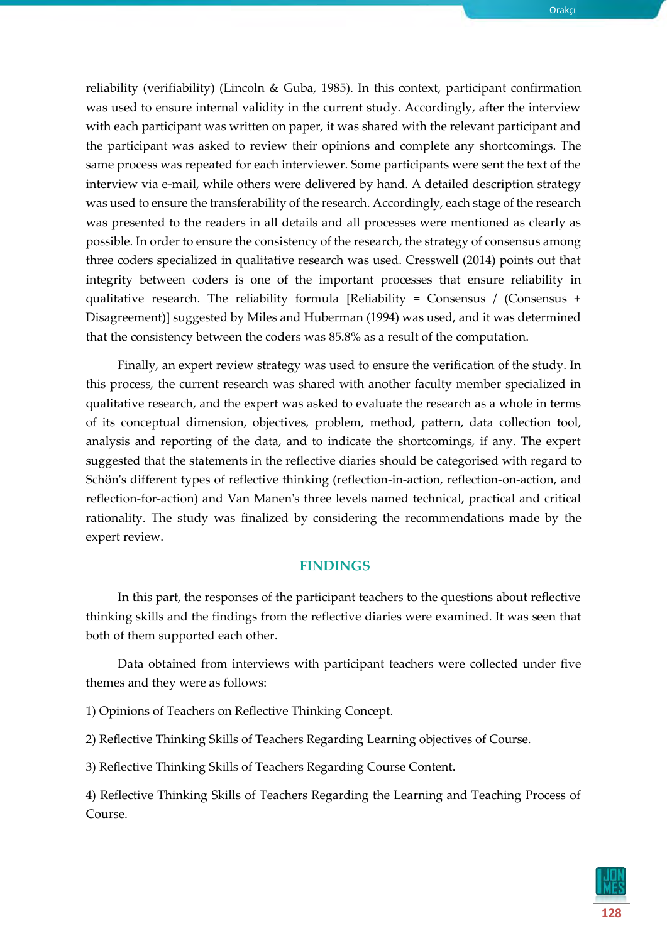Orakçı

reliability (verifiability) (Lincoln & Guba, 1985). In this context, participant confirmation was used to ensure internal validity in the current study. Accordingly, after the interview with each participant was written on paper, it was shared with the relevant participant and the participant was asked to review their opinions and complete any shortcomings. The same process was repeated for each interviewer. Some participants were sent the text of the interview via e-mail, while others were delivered by hand. A detailed description strategy was used to ensure the transferability of the research. Accordingly, each stage of the research was presented to the readers in all details and all processes were mentioned as clearly as possible. In order to ensure the consistency of the research, the strategy of consensus among three coders specialized in qualitative research was used. Cresswell (2014) points out that integrity between coders is one of the important processes that ensure reliability in qualitative research. The reliability formula [Reliability = Consensus / (Consensus + Disagreement)] suggested by Miles and Huberman (1994) was used, and it was determined that the consistency between the coders was 85.8% as a result of the [computation.](https://tureng.com/tr/turkce-ingilizce/computation)

Finally, an expert review strategy was used to ensure the verification of the study. In this process, the current research was shared with another faculty member specialized in qualitative research, and the expert was asked to evaluate the research as a whole in terms of its conceptual dimension, objectives, problem, method, pattern, data collection tool, analysis and reporting of the data, and to indicate the shortcomings, if any. The expert suggested that the statements in the reflective diaries should be categorised with regard to Schön's different types of reflective thinking (reflection-in-action, reflection-on-action, and reflection-for-action) and Van Manen's three levels named technical, practical and critical rationality. The study was finalized by considering the recommendations made by the expert review.

#### **FINDINGS**

In this part, the responses of the participant teachers to the questions about reflective thinking skills and the findings from the reflective diaries were examined. It was seen that both of them supported each other.

Data obtained from interviews with participant teachers were collected under five themes and they were as follows:

1) Opinions of Teachers on Reflective Thinking Concept.

2) Reflective Thinking Skills of Teachers Regarding Learning objectives of Course.

3) Reflective Thinking Skills of Teachers Regarding Course Content.

4) Reflective Thinking Skills of Teachers Regarding the Learning and Teaching Process of Course.

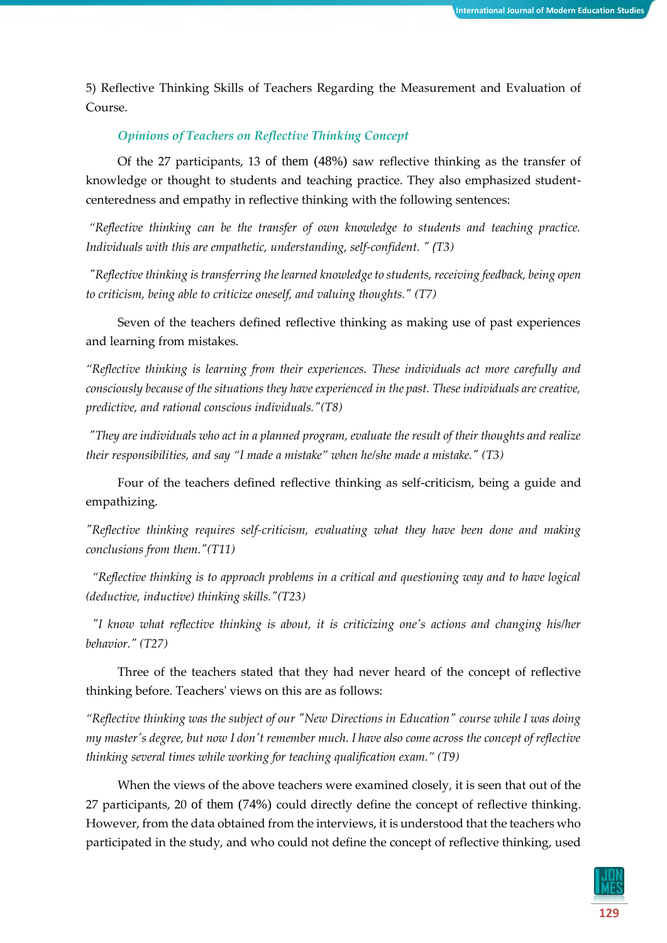5) Reflective Thinking Skills of Teachers Regarding the Measurement and Evaluation of Course.

## *Opinions of Teachers on Reflective Thinking Concept*

Of the 27 participants, 13 of them (48%) saw reflective thinking as the transfer of knowledge or thought to students and teaching practice. They also emphasized studentcenteredness and empathy in reflective thinking with the following sentences:

*"Reflective thinking can be the transfer of own knowledge to students and teaching practice. Individuals with this are empathetic, understanding, self-confident. " (T3)*

*"Reflective thinking is transferring the learned knowledge to students, receiving feedback, being open to criticism, being able to criticize oneself, and valuing thoughts." (T7)*

Seven of the teachers defined reflective thinking as making use of past experiences and learning from mistakes.

*"Reflective thinking is learning from their experiences. These individuals act more carefully and consciously because of the situations they have experienced in the past. These individuals are creative, predictive, and rational conscious individuals."(T8)*

*"They are individuals who act in a planned program, evaluate the result of their thoughts and realize their responsibilities, and say "I made a mistake" when he/she made a mistake." (T3)*

Four of the teachers defined reflective thinking as self-criticism, being a guide and empathizing.

*"Reflective thinking requires self-criticism, evaluating what they have been done and making conclusions from them."(T11)*

 *"Reflective thinking is to approach problems in a critical and questioning way and to have logical (deductive, inductive) thinking skills."(T23)*

 *"I know what reflective thinking is about, it is criticizing one's actions and changing his/her behavior." (T27)*

Three of the teachers stated that they had never heard of the concept of reflective thinking before. Teachers' views on this are as follows:

*"Reflective thinking was the subject of our "New Directions in Education" course while I was doing my master's degree, but now I don't remember much. I have also come across the concept of reflective thinking several times while working for teaching qualification exam." (T9)*

When the views of the above teachers were examined closely, it is seen that out of the 27 participants, 20 of them (74%) could directly define the concept of reflective thinking. However, from the data obtained from the interviews, it is understood that the teachers who participated in the study, and who could not define the concept of reflective thinking, used

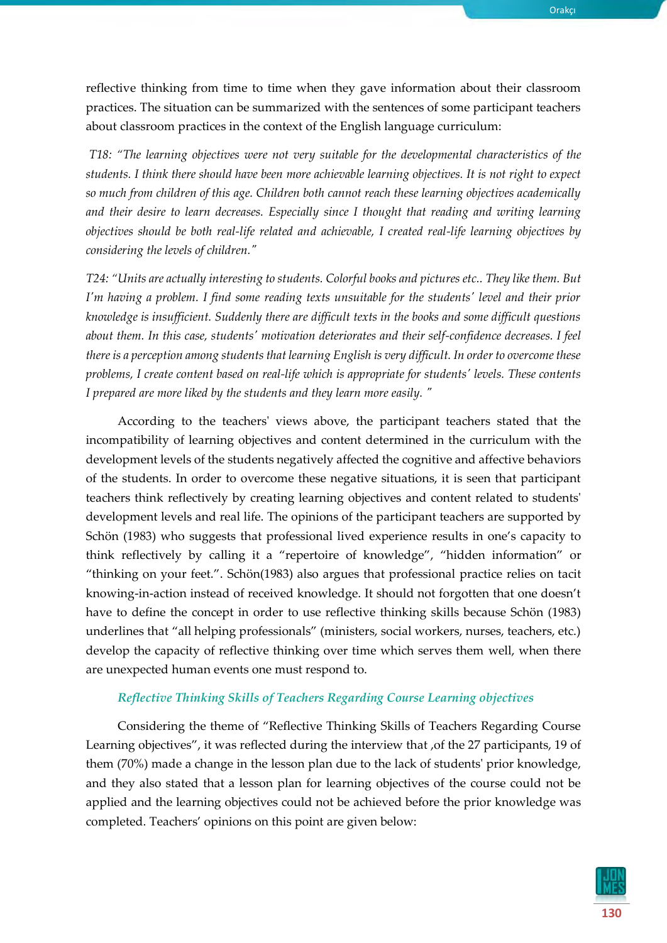reflective thinking from time to time when they gave information about their classroom practices. The situation can be summarized with the sentences of some participant teachers about classroom practices in the context of the English language curriculum:

*T18: "The learning objectives were not very suitable for the developmental characteristics of the students. I think there should have been more achievable learning objectives. It is not right to expect so much from children of this age. Children both cannot reach these learning objectives academically and their desire to learn decreases. Especially since I thought that reading and writing learning objectives should be both real-life related and achievable, I created real-life learning objectives by considering the levels of children."*

*T24: "Units are actually interesting to students. Colorful books and pictures etc.. They like them. But I'm having a problem. I find some reading texts unsuitable for the students' level and their prior knowledge is insufficient. Suddenly there are difficult texts in the books and some difficult questions about them. In this case, students' motivation deteriorates and their self-confidence decreases. I feel there is a perception among students that learning English is very difficult. In order to overcome these problems, I create content based on real-life which is appropriate for students' levels. These contents I prepared are more liked by the students and they learn more easily. "*

According to the teachers' views above, the participant teachers stated that the incompatibility of learning objectives and content determined in the curriculum with the development levels of the students negatively affected the cognitive and affective behaviors of the students. In order to overcome these negative situations, it is seen that participant teachers think reflectively by creating learning objectives and content related to students' development levels and real life. The opinions of the participant teachers are supported by Schön (1983) who suggests that professional lived experience results in one's capacity to think reflectively by calling it a "repertoire of knowledge", "hidden information" or "thinking on your feet.". Schön(1983) also argues that professional practice relies on tacit knowing-in-action instead of received knowledge. It should not forgotten that one doesn't have to define the concept in order to use reflective thinking skills because Schön (1983) underlines that "all helping professionals" (ministers, social workers, nurses, teachers, etc.) develop the capacity of reflective thinking over time which serves them well, when there are unexpected human events one must respond to.

#### *Reflective Thinking Skills of Teachers Regarding Course Learning objectives*

Considering the theme of "Reflective Thinking Skills of Teachers Regarding Course Learning objectives", it was reflected during the interview that ,of the 27 participants, 19 of them (70%) made a change in the lesson plan due to the lack of students' prior knowledge, and they also stated that a lesson plan for learning objectives of the course could not be applied and the learning objectives could not be achieved before the prior knowledge was completed. Teachers' opinions on this point are given below:

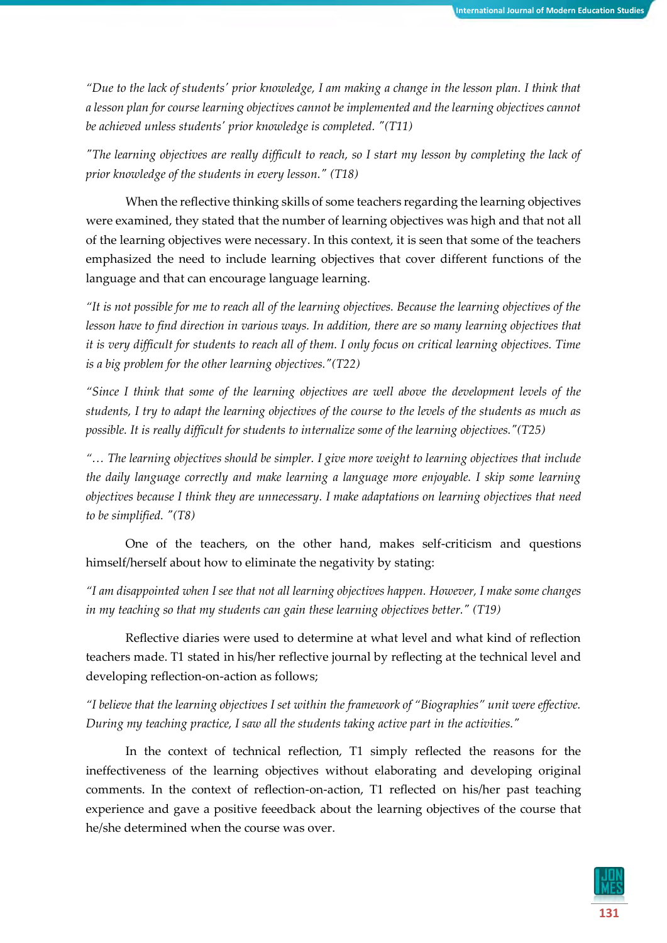*"Due to the lack of students' prior knowledge, I am making a change in the lesson plan. I think that a lesson plan for course learning objectives cannot be implemented and the learning objectives cannot be achieved unless students' prior knowledge is completed. "(T11)*

*"The learning objectives are really difficult to reach, so I start my lesson by completing the lack of prior knowledge of the students in every lesson." (T18)*

When the reflective thinking skills of some teachers regarding the learning objectives were examined, they stated that the number of learning objectives was high and that not all of the learning objectives were necessary. In this context, it is seen that some of the teachers emphasized the need to include learning objectives that cover different functions of the language and that can encourage language learning.

*"It is not possible for me to reach all of the learning objectives. Because the learning objectives of the lesson have to find direction in various ways. In addition, there are so many learning objectives that it is very difficult for students to reach all of them. I only focus on critical learning objectives. Time is a big problem for the other learning objectives."(T22)*

*"Since I think that some of the learning objectives are well above the development levels of the students, I try to adapt the learning objectives of the course to the levels of the students as much as possible. It is really difficult for students to internalize some of the learning objectives."(T25)*

*"… The learning objectives should be simpler. I give more weight to learning objectives that include the daily language correctly and make learning a language more enjoyable. I skip some learning objectives because I think they are unnecessary. I make adaptations on learning objectives that need to be simplified. "(T8)*

One of the teachers, on the other hand, makes self-criticism and questions himself/herself about how to eliminate the negativity by stating:

*"I am disappointed when I see that not all learning objectives happen. However, I make some changes in my teaching so that my students can gain these learning objectives better." (T19)*

Reflective diaries were used to determine at what level and what kind of reflection teachers made. T1 stated in his/her reflective journal by reflecting at the technical level and developing reflection-on-action as follows;

*"I believe that the learning objectives I set within the framework of "Biographies" unit were effective. During my teaching practice, I saw all the students taking active part in the activities."* 

In the context of technical reflection, T1 simply reflected the reasons for the ineffectiveness of the learning objectives without elaborating and developing original comments. In the context of reflection-on-action, T1 reflected on his/her past teaching experience and gave a positive feeedback about the learning objectives of the course that he/she determined when the course was over.

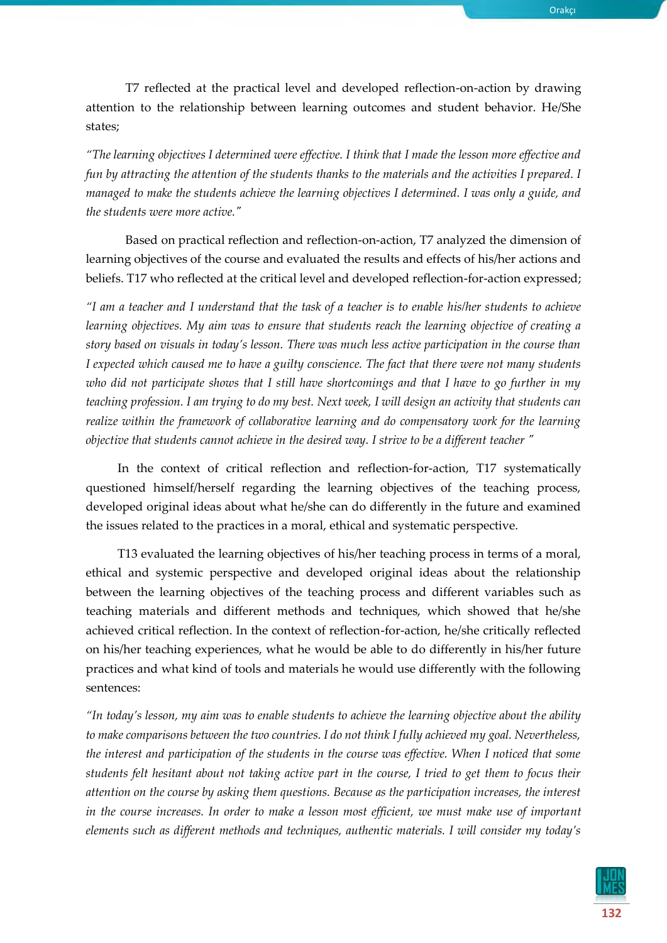T7 reflected at the practical level and developed reflection-on-action by drawing attention to the relationship between learning outcomes and student behavior. He/She states;

*"The learning objectives I determined were effective. I think that I made the lesson more effective and fun by attracting the attention of the students thanks to the materials and the activities I prepared. I managed to make the students achieve the learning objectives I determined. I was only a guide, and the students were more active."*

Based on practical reflection and reflection-on-action, T7 analyzed the dimension of learning objectives of the course and evaluated the results and effects of his/her actions and beliefs. T17 who reflected at the critical level and developed reflection-for-action expressed;

*"I am a teacher and I understand that the task of a teacher is to enable his/her students to achieve learning objectives. My aim was to ensure that students reach the learning objective of creating a story based on visuals in today's lesson. There was much less active participation in the course than I expected which caused me to have a guilty conscience. The fact that there were not many students who did not participate shows that I still have shortcomings and that I have to go further in my teaching profession. I am trying to do my best. Next week, I will design an activity that students can realize within the framework of collaborative learning and do compensatory work for the learning objective that students cannot achieve in the desired way. I strive to be a different teacher "*

In the context of critical reflection and reflection-for-action, T17 systematically questioned himself/herself regarding the learning objectives of the teaching process, developed original ideas about what he/she can do differently in the future and examined the issues related to the practices in a moral, ethical and systematic perspective.

T13 evaluated the learning objectives of his/her teaching process in terms of a moral, ethical and systemic perspective and developed original ideas about the relationship between the learning objectives of the teaching process and different variables such as teaching materials and different methods and techniques, which showed that he/she achieved critical reflection. In the context of reflection-for-action, he/she critically reflected on his/her teaching experiences, what he would be able to do differently in his/her future practices and what kind of tools and materials he would use differently with the following sentences:

*"In today's lesson, my aim was to enable students to achieve the learning objective about the ability to make comparisons between the two countries. I do not think I fully achieved my goal. Nevertheless, the interest and participation of the students in the course was effective. When I noticed that some students felt hesitant about not taking active part in the course, I tried to get them to focus their attention on the course by asking them questions. Because as the participation increases, the interest*  in the course increases. In order to make a lesson most efficient, we must make use of important *elements such as different methods and techniques, authentic materials. I will consider my today's* 

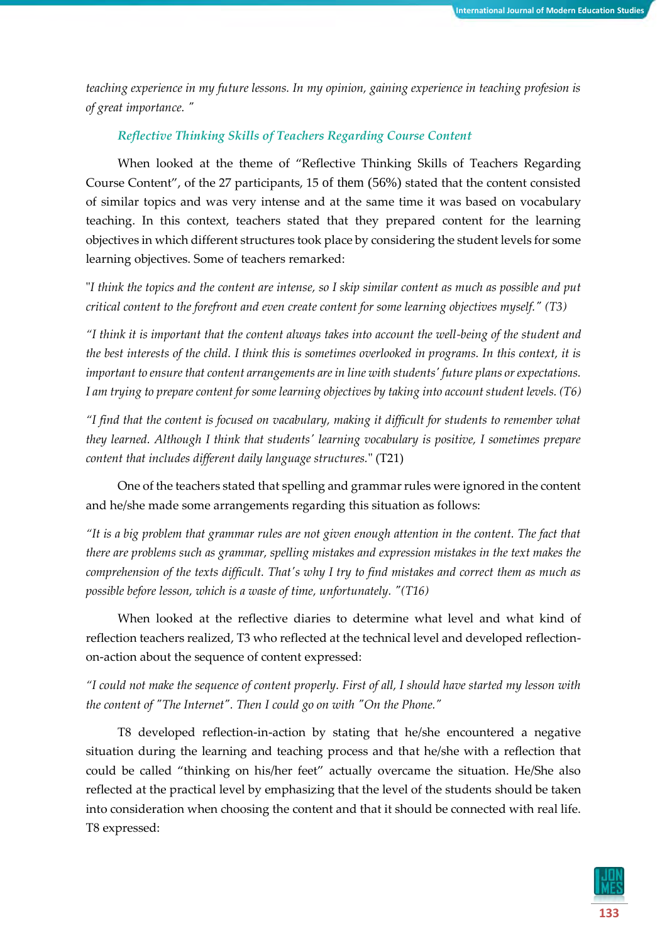*teaching experience in my future lessons. In my opinion, gaining experience in teaching profesion is of great importance. "*

## *Reflective Thinking Skills of Teachers Regarding Course Content*

When looked at the theme of "Reflective Thinking Skills of Teachers Regarding Course Content", of the 27 participants, 15 of them (56%) stated that the content consisted of similar topics and was very intense and at the same time it was based on vocabulary teaching. In this context, teachers stated that they prepared content for the learning objectives in which different structures took place by considering the student levels for some learning objectives. Some of teachers remarked:

"*I think the topics and the content are intense, so I skip similar content as much as possible and put critical content to the forefront and even create content for some learning objectives myself." (T3)*

*"I think it is important that the content always takes into account the well-being of the student and the best interests of the child. I think this is sometimes overlooked in programs. In this context, it is important to ensure that content arrangements are in line with students' future plans or expectations. I am trying to prepare content for some learning objectives by taking into account student levels. (T6)*

*"I find that the content is focused on vacabulary, making it difficult for students to remember what they learned. Although I think that students' learning vocabulary is positive, I sometimes prepare content that includes different daily language structures.*" (T21)

One of the teachers stated that spelling and grammar rules were ignored in the content and he/she made some arrangements regarding this situation as follows:

*"It is a big problem that grammar rules are not given enough attention in the content. The fact that there are problems such as grammar, spelling mistakes and expression mistakes in the text makes the comprehension of the texts difficult. That's why I try to find mistakes and correct them as much as possible before lesson, which is a waste of time, unfortunately. "(T16)*

When looked at the reflective diaries to determine what level and what kind of reflection teachers realized, T3 who reflected at the technical level and developed reflectionon-action about the sequence of content expressed:

*"I could not make the sequence of content properly. First of all, I should have started my lesson with the content of "The Internet". Then I could go on with "On the Phone."* 

T8 developed reflection-in-action by stating that he/she encountered a negative situation during the learning and teaching process and that he/she with a reflection that could be called "thinking on his/her feet" actually overcame the situation. He/She also reflected at the practical level by emphasizing that the level of the students should be taken into consideration when choosing the content and that it should be connected with real life. T8 expressed:

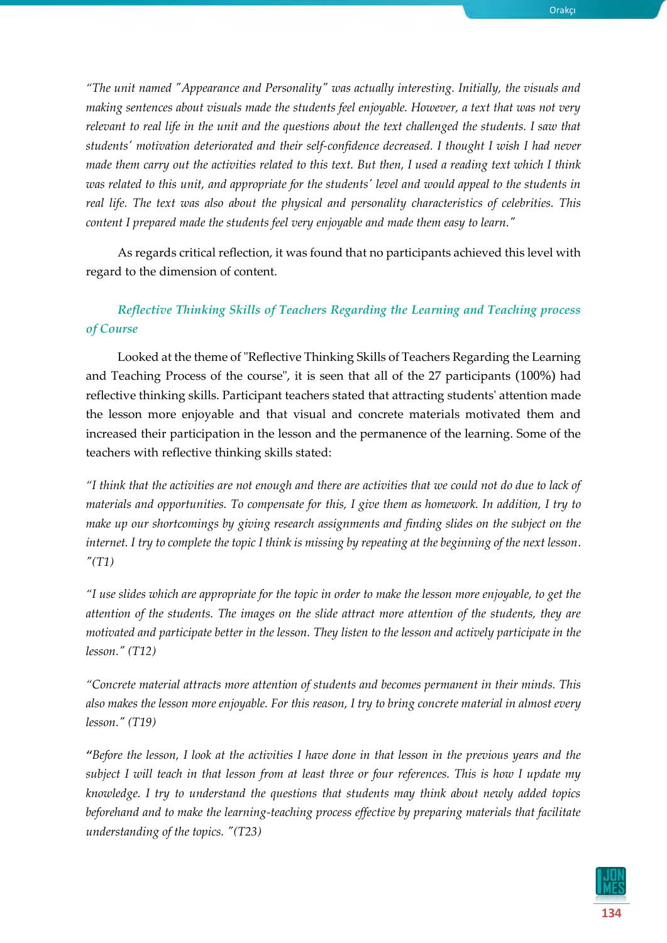*"The unit named "Appearance and Personality" was actually interesting. Initially, the visuals and making sentences about visuals made the students feel enjoyable. However, a text that was not very relevant to real life in the unit and the questions about the text challenged the students. I saw that students' motivation deteriorated and their self-confidence decreased. I thought I wish I had never made them carry out the activities related to this text. But then, I used a reading text which I think was related to this unit, and appropriate for the students' level and would appeal to the students in real life. The text was also about the physical and personality characteristics of celebrities. This content I prepared made the students feel very enjoyable and made them easy to learn."*

As regards critical reflection, it was found that no participants achieved this level with regard to the dimension of content.

## *Reflective Thinking Skills of Teachers Regarding the Learning and Teaching process of Course*

Looked at the theme of "Reflective Thinking Skills of Teachers Regarding the Learning and Teaching Process of the course", it is seen that all of the 27 participants (100%) had reflective thinking skills. Participant teachers stated that attracting students' attention made the lesson more enjoyable and that visual and concrete materials motivated them and increased their participation in the lesson and the permanence of the learning. Some of the teachers with reflective thinking skills stated:

*"I think that the activities are not enough and there are activities that we could not do due to lack of materials and opportunities. To compensate for this, I give them as homework. In addition, I try to make up our shortcomings by giving research assignments and finding slides on the subject on the internet. I try to complete the topic I think is missing by repeating at the beginning of the next lesson. "(T1)*

*"I use slides which are appropriate for the topic in order to make the lesson more enjoyable, to get the attention of the students. The images on the slide attract more attention of the students, they are motivated and participate better in the lesson. They listen to the lesson and actively participate in the lesson." (T12)*

*"Concrete material attracts more attention of students and becomes permanent in their minds. This also makes the lesson more enjoyable. For this reason, I try to bring concrete material in almost every lesson." (T19)*

*"Before the lesson, I look at the activities I have done in that lesson in the previous years and the subject I will teach in that lesson from at least three or four references. This is how I update my knowledge. I try to understand the questions that students may think about newly added topics beforehand and to make the learning-teaching process effective by preparing materials that facilitate understanding of the topics. "(T23)*

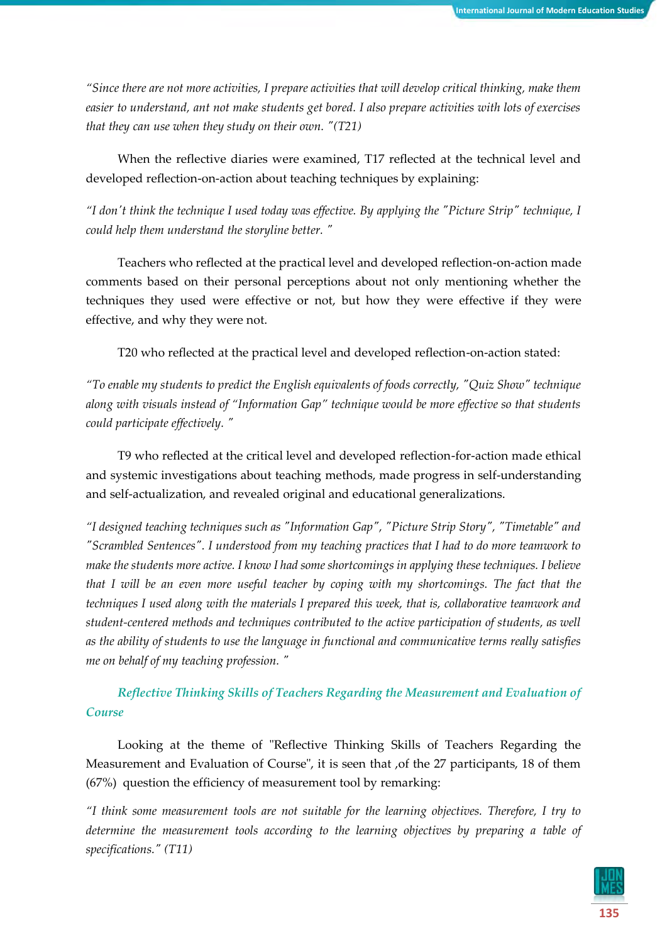*"Since there are not more activities, I prepare activities that will develop critical thinking, make them easier to understand, ant not make students get bored. I also prepare activities with lots of exercises that they can use when they study on their own. "(T21)*

When the reflective diaries were examined, T17 reflected at the technical level and developed reflection-on-action about teaching techniques by explaining:

*"I don't think the technique I used today was effective. By applying the "Picture Strip" technique, I could help them understand the storyline better. "*

Teachers who reflected at the practical level and developed reflection-on-action made comments based on their personal perceptions about not only mentioning whether the techniques they used were effective or not, but how they were effective if they were effective, and why they were not.

T20 who reflected at the practical level and developed reflection-on-action stated:

*"To enable my students to predict the English equivalents of foods correctly, "Quiz Show" technique along with visuals instead of "Information Gap" technique would be more effective so that students could participate effectively. "*

T9 who reflected at the critical level and developed reflection-for-action made ethical and systemic investigations about teaching methods, made progress in self-understanding and self-actualization, and revealed original and educational generalizations.

*"I designed teaching techniques such as "Information Gap", "Picture Strip Story", "Timetable" and "Scrambled Sentences". I understood from my teaching practices that I had to do more teamwork to make the students more active. I know I had some shortcomings in applying these techniques. I believe that I will be an even more useful teacher by coping with my shortcomings. The fact that the techniques I used along with the materials I prepared this week, that is, collaborative teamwork and student-centered methods and techniques contributed to the active participation of students, as well as the ability of students to use the language in functional and communicative terms really satisfies me on behalf of my teaching profession. "*

*Reflective Thinking Skills of Teachers Regarding the Measurement and Evaluation of Course*

Looking at the theme of "Reflective Thinking Skills of Teachers Regarding the Measurement and Evaluation of Course", it is seen that ,of the 27 participants, 18 of them (67%) question the efficiency of measurement tool by remarking:

*"I think some measurement tools are not suitable for the learning objectives. Therefore, I try to determine the measurement tools according to the learning objectives by preparing a [table of](https://tureng.com/tr/turkce-ingilizce/table%20of%20specifications)  [specifications.](https://tureng.com/tr/turkce-ingilizce/table%20of%20specifications)" (T11)*

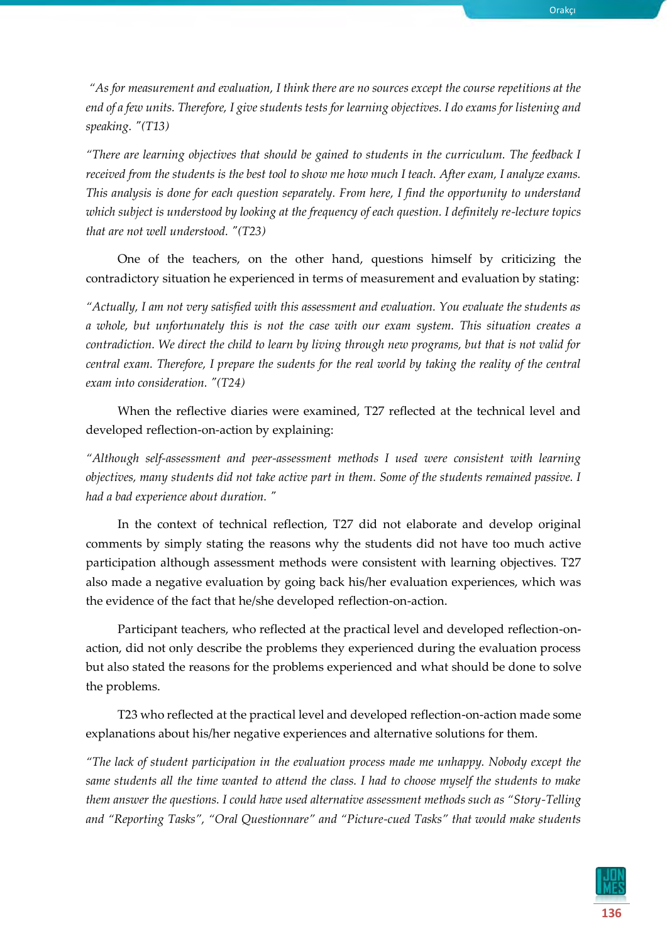*"As for measurement and evaluation, I think there are no sources except the course repetitions at the end of a few units. Therefore, I give students tests for learning objectives. I do exams for listening and speaking. "(T13)*

*"There are learning objectives that should be gained to students in the curriculum. The feedback I received from the students is the best tool to show me how much I teach. After exam, I analyze exams. This analysis is done for each question separately. From here, I find the opportunity to understand which subject is understood by looking at the frequency of each question. I definitely re-lecture topics that are not well understood. "(T23)*

One of the teachers, on the other hand, questions himself by criticizing the contradictory situation he experienced in terms of measurement and evaluation by stating:

*"Actually, I am not very satisfied with this assessment and evaluation. You evaluate the students as a whole, but unfortunately this is not the case with our exam system. This situation creates a contradiction. We direct the child to learn by living through new programs, but that is not valid for central exam. Therefore, I prepare the sudents for the real world by taking the reality of the central exam into consideration. "(T24)*

When the reflective diaries were examined, T27 reflected at the technical level and developed reflection-on-action by explaining:

*"Although self-assessment and peer-assessment methods I used were consistent with learning objectives, many students did not take active part in them. Some of the students remained passive. I had a bad experience about duration. "*

In the context of technical reflection, T27 did not elaborate and develop original comments by simply stating the reasons why the students did not have too much active participation although assessment methods were consistent with learning objectives. T27 also made a negative evaluation by going back his/her evaluation experiences, which was the evidence of the fact that he/she developed reflection-on-action.

Participant teachers, who reflected at the practical level and developed reflection-onaction, did not only describe the problems they experienced during the evaluation process but also stated the reasons for the problems experienced and what should be done to solve the problems.

T23 who reflected at the practical level and developed reflection-on-action made some explanations about his/her negative experiences and alternative solutions for them.

*"The lack of student participation in the evaluation process made me unhappy. Nobody except the same students all the time wanted to attend the class. I had to choose myself the students to make them answer the questions. I could have used alternative assessment methods such as "Story-Telling and "Reporting Tasks", "Oral Questionnare" and "Picture-cued Tasks" that would make students* 

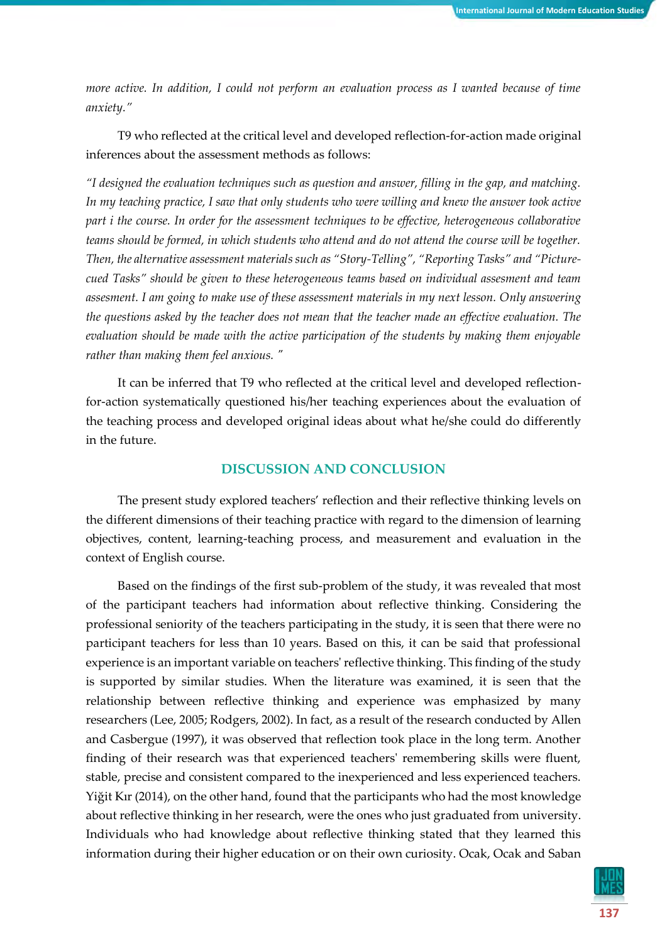*more active. In addition, I could not perform an evaluation process as I wanted because of time anxiety."*

T9 who reflected at the critical level and developed reflection-for-action made original inferences about the assessment methods as follows:

*"I designed the evaluation techniques such as question and answer, filling in the gap, and matching. In my teaching practice, I saw that only students who were willing and knew the answer took active part i the course. In order for the assessment techniques to be effective, heterogeneous collaborative teams should be formed, in which students who attend and do not attend the course will be together. Then, the alternative assessment materials such as "Story-Telling", "Reporting Tasks" and "Picturecued Tasks" should be given to these heterogeneous teams based on individual assesment and team assesment. I am going to make use of these assessment materials in my next lesson. Only answering the questions asked by the teacher does not mean that the teacher made an effective evaluation. The evaluation should be made with the active participation of the students by making them enjoyable rather than making them feel anxious. "* 

It can be inferred that T9 who reflected at the critical level and developed reflectionfor-action systematically questioned his/her teaching experiences about the evaluation of the teaching process and developed original ideas about what he/she could do differently in the future.

## **DISCUSSION AND CONCLUSION**

The present study explored teachers' reflection and their reflective thinking levels on the different dimensions of their teaching practice with regard to the dimension of learning objectives, content, learning-teaching process, and measurement and evaluation in the context of English course.

Based on the findings of the first sub-problem of the study, it was revealed that most of the participant teachers had information about reflective thinking. Considering the professional seniority of the teachers participating in the study, it is seen that there were no participant teachers for less than 10 years. Based on this, it can be said that professional experience is an important variable on teachers' reflective thinking. This finding of the study is supported by similar studies. When the literature was examined, it is seen that the relationship between reflective thinking and experience was emphasized by many researchers (Lee, 2005; Rodgers, 2002). In fact, as a result of the research conducted by Allen and Casbergue (1997), it was observed that reflection took place in the long term. Another finding of their research was that experienced teachers' remembering skills were fluent, stable, precise and consistent compared to the inexperienced and less experienced teachers. Yiğit Kır (2014), on the other hand, found that the participants who had the most knowledge about reflective thinking in her research, were the ones who just graduated from university. Individuals who had knowledge about reflective thinking stated that they learned this information during their higher education or on their own curiosity. Ocak, Ocak and Saban

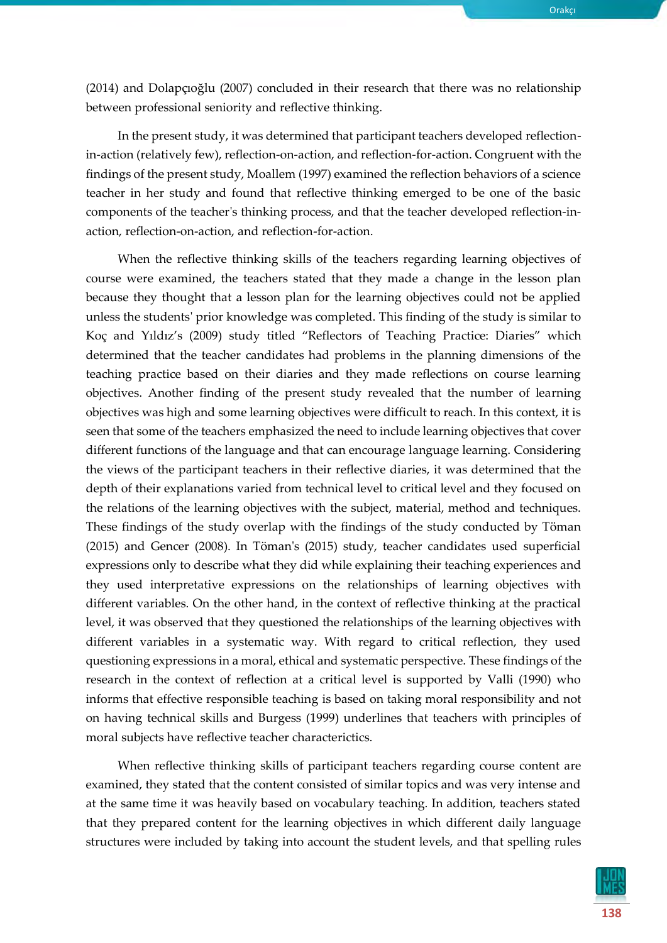(2014) and Dolapçıoğlu (2007) concluded in their research that there was no relationship between professional seniority and reflective thinking.

In the present study, it was determined that participant teachers developed reflectionin-action (relatively few), reflection-on-action, and reflection-for-action. Congruent with the findings of the present study, Moallem (1997) examined the reflection behaviors of a science teacher in her study and found that reflective thinking emerged to be one of the basic components of the teacher's thinking process, and that the teacher developed reflection-inaction, reflection-on-action, and reflection-for-action.

When the reflective thinking skills of the teachers regarding learning objectives of course were examined, the teachers stated that they made a change in the lesson plan because they thought that a lesson plan for the learning objectives could not be applied unless the students' prior knowledge was completed. This finding of the study is similar to Koç and Yıldız's (2009) study titled "Reflectors of Teaching Practice: Diaries" which determined that the teacher candidates had problems in the planning dimensions of the teaching practice based on their diaries and they made reflections on course learning objectives. Another finding of the present study revealed that the number of learning objectives was high and some learning objectives were difficult to reach. In this context, it is seen that some of the teachers emphasized the need to include learning objectives that cover different functions of the language and that can encourage language learning. Considering the views of the participant teachers in their reflective diaries, it was determined that the depth of their explanations varied from technical level to critical level and they focused on the relations of the learning objectives with the subject, material, method and techniques. These findings of the study overlap with the findings of the study conducted by Töman (2015) and Gencer (2008). In Töman's (2015) study, teacher candidates used superficial expressions only to describe what they did while explaining their teaching experiences and they used interpretative expressions on the relationships of learning objectives with different variables. On the other hand, in the context of reflective thinking at the practical level, it was observed that they questioned the relationships of the learning objectives with different variables in a systematic way. With regard to critical reflection, they used questioning expressions in a moral, ethical and systematic perspective. These findings of the research in the context of reflection at a critical level is supported by Valli (1990) who informs that effective responsible teaching is based on taking moral responsibility and not on having technical skills and Burgess (1999) underlines that teachers with principles of moral subjects have reflective teacher characterictics.

When reflective thinking skills of participant teachers regarding course content are examined, they stated that the content consisted of similar topics and was very intense and at the same time it was heavily based on vocabulary teaching. In addition, teachers stated that they prepared content for the learning objectives in which different daily language structures were included by taking into account the student levels, and that spelling rules

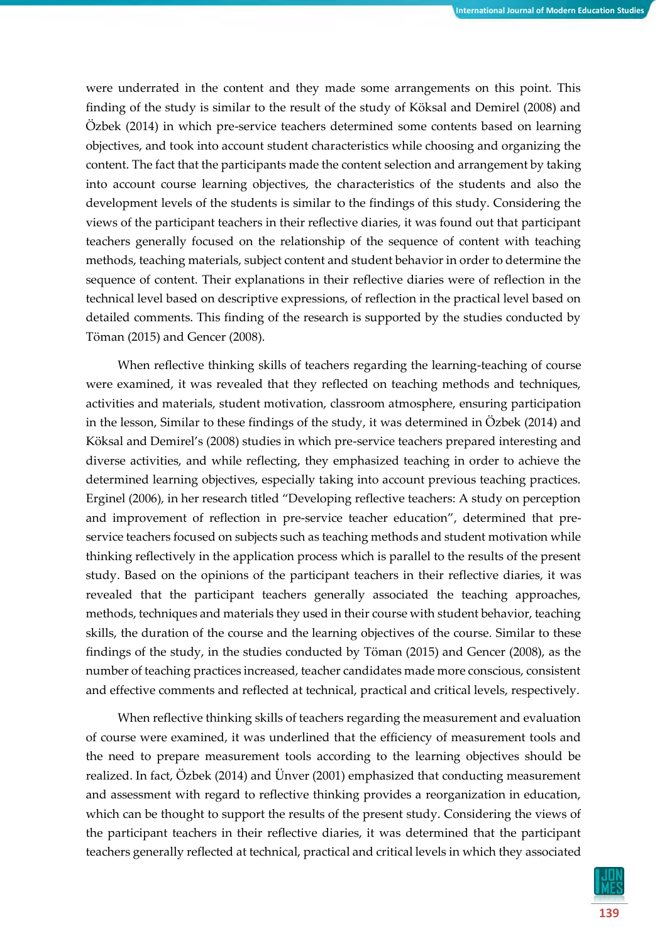were underrated in the content and they made some arrangements on this point. This finding of the study is similar to the result of the study of Köksal and Demirel (2008) and Özbek (2014) in which pre-service teachers determined some contents based on learning objectives, and took into account student characteristics while choosing and organizing the content. The fact that the participants made the content selection and arrangement by taking into account course learning objectives, the characteristics of the students and also the development levels of the students is similar to the findings of this study. Considering the views of the participant teachers in their reflective diaries, it was found out that participant teachers generally focused on the relationship of the sequence of content with teaching methods, teaching materials, subject content and student behavior in order to determine the sequence of content. Their explanations in their reflective diaries were of reflection in the technical level based on descriptive expressions, of reflection in the practical level based on detailed comments. This finding of the research is supported by the studies conducted by Töman (2015) and Gencer (2008).

When reflective thinking skills of teachers regarding the learning-teaching of course were examined, it was revealed that they reflected on teaching methods and techniques, activities and materials, student motivation, classroom atmosphere, ensuring participation in the lesson, Similar to these findings of the study, it was determined in Özbek (2014) and Köksal and Demirel's (2008) studies in which pre-service teachers prepared interesting and diverse activities, and while reflecting, they emphasized teaching in order to achieve the determined learning objectives, especially taking into account previous teaching practices. Erginel (2006), in her research titled "Developing reflective teachers: A study on perception and improvement of reflection in pre-service teacher education", determined that preservice teachers focused on subjects such as teaching methods and student motivation while thinking reflectively in the application process which is parallel to the results of the present study. Based on the opinions of the participant teachers in their reflective diaries, it was revealed that the participant teachers generally associated the teaching approaches, methods, techniques and materials they used in their course with student behavior, teaching skills, the duration of the course and the learning objectives of the course. Similar to these findings of the study, in the studies conducted by Töman (2015) and Gencer (2008), as the number of teaching practices increased, teacher candidates made more conscious, consistent and effective comments and reflected at technical, practical and critical levels, respectively.

When reflective thinking skills of teachers regarding the measurement and evaluation of course were examined, it was underlined that the efficiency of measurement tools and the need to prepare measurement tools according to the learning objectives should be realized. In fact, Özbek (2014) and Ünver (2001) emphasized that conducting measurement and assessment with regard to reflective thinking provides a reorganization in education, which can be thought to support the results of the present study. Considering the views of the participant teachers in their reflective diaries, it was determined that the participant teachers generally reflected at technical, practical and critical levels in which they associated

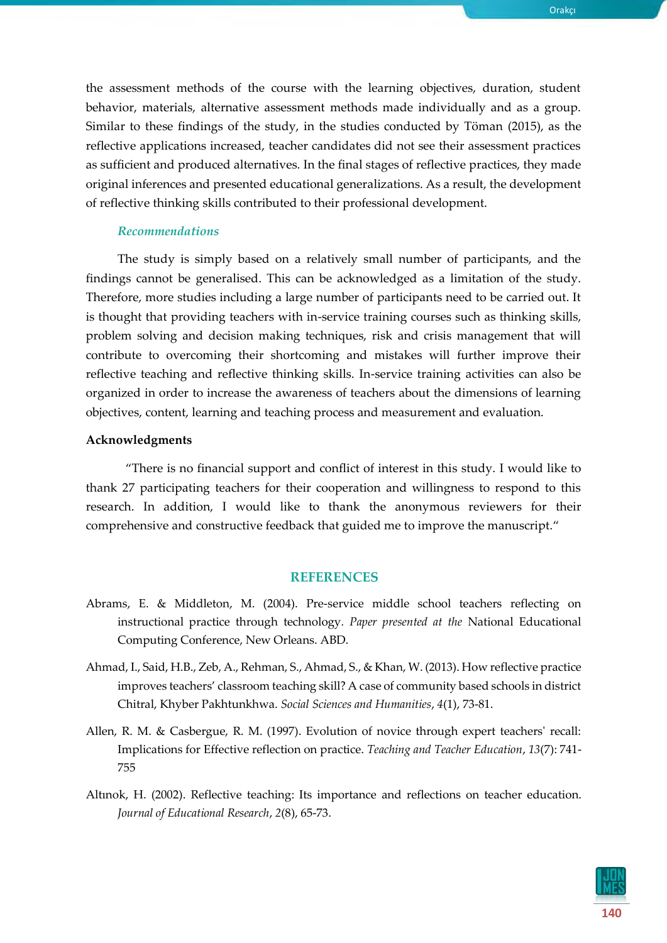the assessment methods of the course with the learning objectives, duration, student behavior, materials, alternative assessment methods made individually and as a group. Similar to these findings of the study, in the studies conducted by Töman (2015), as the reflective applications increased, teacher candidates did not see their assessment practices as sufficient and produced alternatives. In the final stages of reflective practices, they made original inferences and presented educational generalizations. As a result, the development of reflective thinking skills contributed to their professional development.

## *Recommendations*

The study is simply based on a relatively small number of participants, and the findings cannot be generalised. This can be acknowledged as a limitation of the study. Therefore, more studies including a large number of participants need to be carried out. It is thought that providing teachers with in-service training courses such as thinking skills, problem solving and decision making techniques, risk and crisis management that will contribute to overcoming their shortcoming and mistakes will further improve their reflective teaching and reflective thinking skills. In-service training activities can also be organized in order to increase the awareness of teachers about the dimensions of learning objectives, content, learning and teaching process and measurement and evaluation.

#### **Acknowledgments**

"There is no financial support and conflict of interest in this study. I would like to thank 27 participating teachers for their cooperation and willingness to respond to this research. In addition, I would like to thank the anonymous reviewers for their comprehensive and constructive feedback that guided me to improve the manuscript."

## **REFERENCES**

- Abrams, E. & Middleton, M. (2004). Pre-service middle school teachers reflecting on instructional practice through technology*. Paper presented at the* National Educational Computing Conference, New Orleans. ABD.
- Ahmad, I., Said, H.B., Zeb, A., Rehman, S., Ahmad, S., & Khan, W. (2013). How reflective practice improves teachers' classroom teaching skill? A case of community based schools in district Chitral, Khyber Pakhtunkhwa. *Social Sciences and Humanities*, *4*(1), 73-81.
- Allen, R. M. & Casbergue, R. M. (1997). Evolution of novice through expert teachers' recall: Implications for Effective reflection on practice. *Teaching and Teacher Education*, *13*(7): 741- 755
- Altınok, H. (2002). Reflective teaching: Its importance and reflections on teacher education. *Journal of Educational Research*, *2*(8), 65-73.

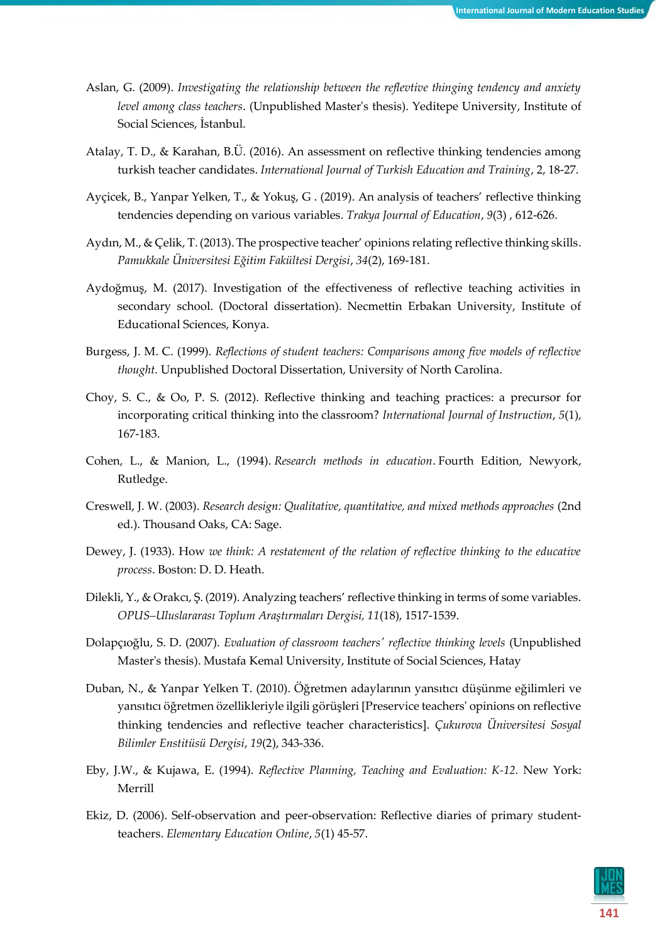- Aslan, G. (2009). *Investigating the relationship between the reflevtive thinging tendency and anxiety level among class teachers*. (Unpublished Master's thesis). Yeditepe University, Institute of Social Sciences, İstanbul.
- Atalay, T. D., & Karahan, B.Ü. (2016). An assessment on reflective thinking tendencies among turkish teacher candidates. *International Journal of Turkish Education and Training*, 2, 18-27.
- Ayçicek, B., Yanpar Yelken, T., & Yokuş, G . (2019). An analysis of teachers' reflective thinking tendencies depending on various variables. *Trakya Journal of Education*, *9*(3) , 612-626.
- Aydın, M., & Çelik, T. (2013). The prospective teacher' opinions relating reflective thinking skills. *Pamukkale Üniversitesi Eğitim Fakültesi Dergisi*, *34*(2), 169-181.
- Aydoğmuş, M. (2017). Investigation of the effectiveness of reflective teaching activities in secondary school. (Doctoral dissertation). Necmettin Erbakan University, Institute of Educational Sciences, Konya.
- Burgess, J. M. C. (1999). *Reflections of student teachers: Comparisons among five models of reflective thought.* Unpublished Doctoral Dissertation, University of North Carolina.
- Choy, S. C., & Oo, P. S. (2012). Reflective thinking and teaching practices: a precursor for incorporating critical thinking into the classroom? *International Journal of Instruction*, *5*(1), 167-183.
- Cohen, L., & Manion, L., (1994). *Research methods in education*. Fourth Edition, Newyork, Rutledge.
- Creswell, J. W. (2003). *Research design: Qualitative, quantitative, and mixed methods approaches* (2nd ed.). Thousand Oaks, CA: Sage.
- Dewey, J. (1933). How *we think: A restatement of the relation of reflective thinking to the educative process*. Boston: D. D. Heath.
- Dilekli, Y., & Orakcı, Ş. (2019). Analyzing teachers' reflective thinking in terms of some variables. *OPUS–Uluslararası Toplum Araştırmaları Dergisi, 11*(18), 1517-1539.
- Dolapçıoğlu, S. D. (2007). *Evaluation of classroom teachers' reflective thinking levels* (Unpublished Master's thesis). Mustafa Kemal University, Institute of Social Sciences, Hatay
- Duban, N., & Yanpar Yelken T. (2010). Öğretmen adaylarının yansıtıcı düşünme eğilimleri ve yansıtıcı öğretmen özellikleriyle ilgili görüşleri [Preservice teachers' opinions on reflective thinking tendencies and reflective teacher characteristics]. *Çukurova Üniversitesi Sosyal Bilimler Enstitüsü Dergisi*, *19*(2), 343-336.
- Eby, J.W., & Kujawa, E. (1994). *Reflective Planning, Teaching and Evaluation: K-12.* New York: Merrill
- Ekiz, D. (2006). Self-observation and peer-observation: Reflective diaries of primary studentteachers. *Elementary Education Online*, *5*(1) 45-57.

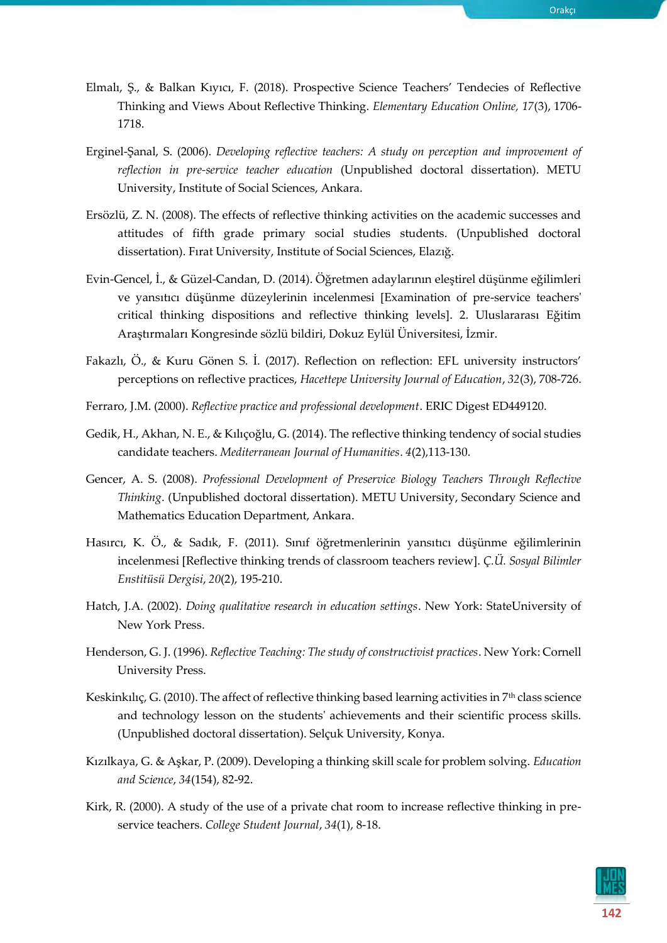- Elmalı, Ş., & Balkan Kıyıcı, F. (2018). Prospective Science Teachers' Tendecies of Reflective Thinking and Views About Reflective Thinking. *Elementary Education Online, 17*(3), 1706- 1718.
- Erginel-Şanal, S. (2006). *Developing reflective teachers: A study on perception and improvement of reflection in pre-service teacher education* (Unpublished doctoral dissertation). METU University, Institute of Social Sciences, Ankara.
- Ersözlü, Z. N. (2008). The effects of reflective thinking activities on the academic successes and attitudes of fifth grade primary social studies students. (Unpublished doctoral dissertation). Fırat University, Institute of Social Sciences, Elazığ.
- Evin-Gencel, İ., & Güzel-Candan, D. (2014). Öğretmen adaylarının eleştirel düşünme eğilimleri ve yansıtıcı düşünme düzeylerinin incelenmesi [Examination of pre-service teachers' critical thinking dispositions and reflective thinking levels]. 2. Uluslararası Eğitim Araştırmaları Kongresinde sözlü bildiri, Dokuz Eylül Üniversitesi, İzmir.
- Fakazlı, Ö., & Kuru Gönen S. İ. (2017). Reflection on reflection: EFL university instructors' perceptions on reflective practices, *Hacettepe University Journal of Education*, *32*(3), 708-726.
- Ferraro, J.M. (2000). *Reflective practice and professional development*. ERIC Digest ED449120.
- Gedik, H., Akhan, N. E., & Kılıçoğlu, G. (2014). The reflective thinking tendency of social studies candidate teachers. *Mediterranean Journal of Humanities*. *4*(2),113-130.
- Gencer, A. S. (2008). *Professional Development of Preservice Biology Teachers Through Reflective Thinking*. (Unpublished doctoral dissertation). METU University, Secondary Science and Mathematics Education Department, Ankara.
- Hasırcı, K. Ö., & Sadık, F. (2011). Sınıf öğretmenlerinin yansıtıcı düşünme eğilimlerinin incelenmesi [Reflective thinking trends of classroom teachers review]. *Ç.Ü. Sosyal Bilimler Enstitüsü Dergisi*, *20*(2), 195-210.
- Hatch, J.A. (2002). *Doing qualitative research in education settings*. New York: StateUniversity of New York Press.
- Henderson, G. J. (1996). *Reflective Teaching: The study of constructivist practices*. New York: Cornell University Press.
- Keskinkılıç, G. (2010). The affect of reflective thinking based learning activities in  $7<sup>th</sup>$  class science and technology lesson on the students' achievements and their scientific process skills. (Unpublished doctoral dissertation). Selçuk University, Konya.
- Kızılkaya, G. & Aşkar, P. (2009). Developing a thinking skill scale for problem solving. *Education and Science*, *34*(154), 82-92.
- Kirk, R. (2000). A study of the use of a private chat room to increase reflective thinking in preservice teachers. *College Student Journal*, *34*(1), 8-18.

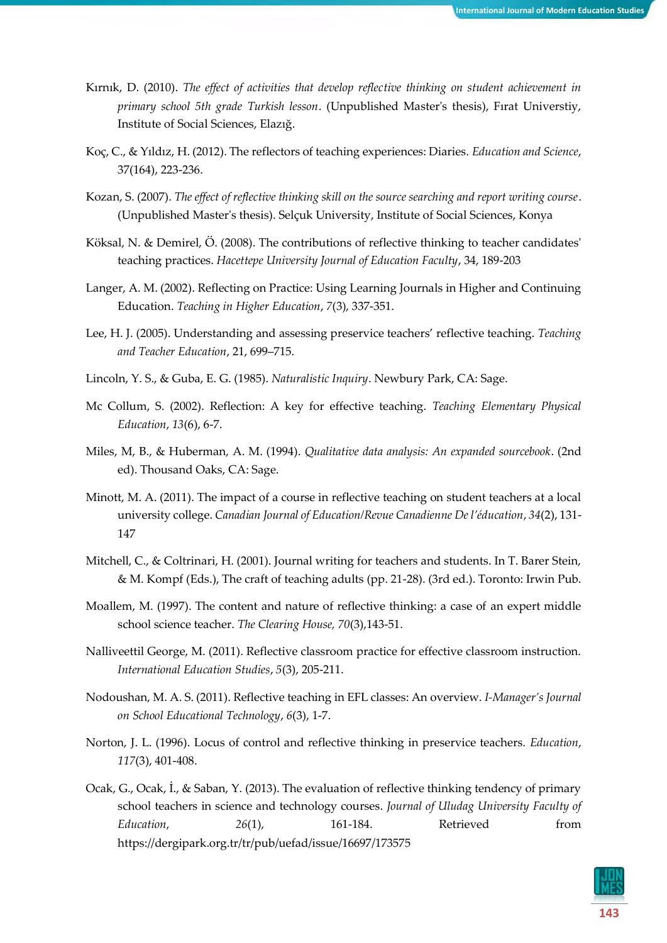- Kırnık, D. (2010). *The effect of activities that develop reflective thinking on student achievement in primary school 5th grade Turkish lesson*. (Unpublished Master's thesis), Fırat Universtiy, Institute of Social Sciences, Elazığ.
- Koç, C., & Yıldız, H. (2012). The reflectors of teaching experiences: Diaries. *Education and Science*, 37(164), 223-236.
- Kozan, S. (2007). *The effect of reflective thinking skill on the source searching and report writing course*. (Unpublished Master's thesis). Selçuk University, Institute of Social Sciences, Konya
- Köksal, N. & Demirel, Ö. (2008). The contributions of reflective thinking to teacher candidates' teaching practices. *Hacettepe University Journal of Education Faculty*, 34, 189-203
- Langer, A. M. (2002). Reflecting on Practice: Using Learning Journals in Higher and Continuing Education. *Teaching in Higher Education*, *7*(3), 337-351.
- Lee, H. J. (2005). Understanding and assessing preservice teachers' reflective teaching. *Teaching and Teacher Education*, 21, 699–715.
- Lincoln, Y. S., & Guba, E. G. (1985). *Naturalistic Inquiry*. Newbury Park, CA: Sage.
- Mc Collum, S. (2002). Reflection: A key for effective teaching. *Teaching Elementary Physical Education*, *13*(6), 6-7.
- Miles, M, B., & Huberman, A. M. (1994). *Qualitative data analysis: An expanded sourcebook*. (2nd ed). Thousand Oaks, CA: Sage.
- Minott, M. A. (2011). The impact of a course in reflective teaching on student teachers at a local university college. *Canadian Journal of Education/Revue Canadienne De l'éducation*, *34*(2), 131- 147
- Mitchell, C., & Coltrinari, H. (2001). Journal writing for teachers and students. In T. Barer Stein, & M. Kompf (Eds.), The craft of teaching adults (pp. 21-28). (3rd ed.). Toronto: Irwin Pub.
- Moallem, M. (1997). The content and nature of reflective thinking: a case of an expert middle school science teacher. *The Clearing House, 70*(3),143-51.
- Nalliveettil George, M. (2011). Reflective classroom practice for effective classroom instruction. *International Education Studies*, *5*(3), 205-211.
- Nodoushan, M. A. S. (2011). Reflective teaching in EFL classes: An overview. *I-Manager's Journal on School Educational Technology*, *6*(3), 1-7.
- Norton, J. L. (1996). Locus of control and reflective thinking in preservice teachers. *Education*, *117*(3), 401-408.
- Ocak, G., Ocak, İ., & Saban, Y. (2013). The evaluation of reflective thinking tendency of primary school teachers in science and technology courses. *Journal of Uludag University Faculty of Education*, *26*(1), 161-184. Retrieved from https://dergipark.org.tr/tr/pub/uefad/issue/16697/173575

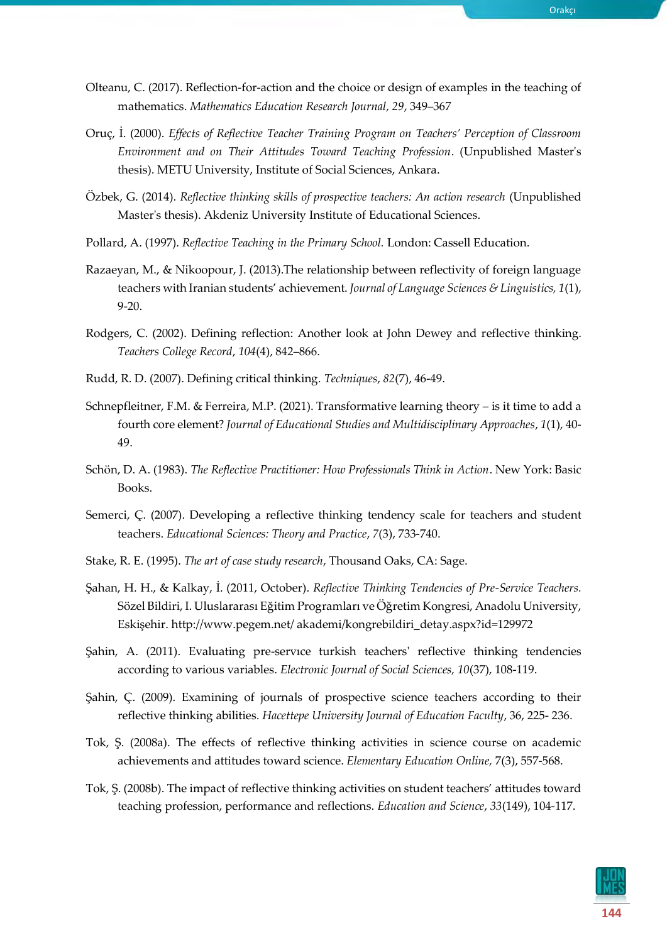- Olteanu, C. (2017). Reflection-for-action and the choice or design of examples in the teaching of mathematics. *[Mathematics Education Research Journal,](https://link.springer.com/journal/13394) 29*, 349–367
- Oruç, İ. (2000). *Effects of Reflective Teacher Training Program on Teachers' Perception of Classroom Environment and on Their Attitudes Toward Teaching Profession*. (Unpublished Master's thesis). METU University, Institute of Social Sciences, Ankara.
- Özbek, G. (2014). *Reflective thinking skills of prospective teachers: An action research* (Unpublished Master's thesis). Akdeniz University Institute of Educational Sciences.
- Pollard, A. (1997). *Reflective Teaching in the Primary School.* London: Cassell Education.
- Razaeyan, M., & Nikoopour, J. (2013).The relationship between reflectivity of foreign language teachers with Iranian students' achievement. *Journal of Language Sciences & Linguistics, 1*(1), 9-20.
- Rodgers, C. (2002). Defining reflection: Another look at John Dewey and reflective thinking. *Teachers College Record*, *104*(4), 842–866.
- Rudd, R. D. (2007). Defining critical thinking. *Techniques*, *82*(7), 46-49.
- Schnepfleitner, F.M. & Ferreira, M.P. (2021). Transformative learning theory is it time to add a fourth core element? *Journal of Educational Studies and Multidisciplinary Approaches*, *1*(1), 40- 49.
- Schön, D. A. (1983). *The Reflective Practitioner: How Professionals Think in Action*. New York: Basic Books.
- Semerci, Ç. (2007). Developing a reflective thinking tendency scale for teachers and student teachers. *Educational Sciences: Theory and Practice*, *7*(3), 733-740.
- Stake, R. E. (1995). *The art of case study research*, Thousand Oaks, CA: Sage.
- Şahan, H. H., & Kalkay, İ. (2011, October). *Reflective Thinking Tendencies of Pre-Service Teachers.*  Sözel Bildiri, I. Uluslararası Eğitim Programları ve Öğretim Kongresi, Anadolu University, Eskişehir. http://www.pegem.net/ akademi/kongrebildiri\_detay.aspx?id=129972
- Şahin, A. (2011). Evaluating pre-servıce turkish teachers' reflective thinking tendencies according to various variables. *Electronic Journal of Social Sciences, 10*(37), 108-119.
- Şahin, Ç. (2009). Examining of journals of prospective science teachers according to their reflective thinking abilities. *Hacettepe University Journal of Education Faculty*, 36, 225- 236.
- Tok, Ş. (2008a). The effects of reflective thinking activities in science course on academic achievements and attitudes toward science. *Elementary Education Online,* 7(3), 557-568.
- Tok, Ş. (2008b). The impact of reflective thinking activities on student teachers' attitudes toward teaching profession, performance and reflections. *Education and Science*, *33*(149), 104-117.